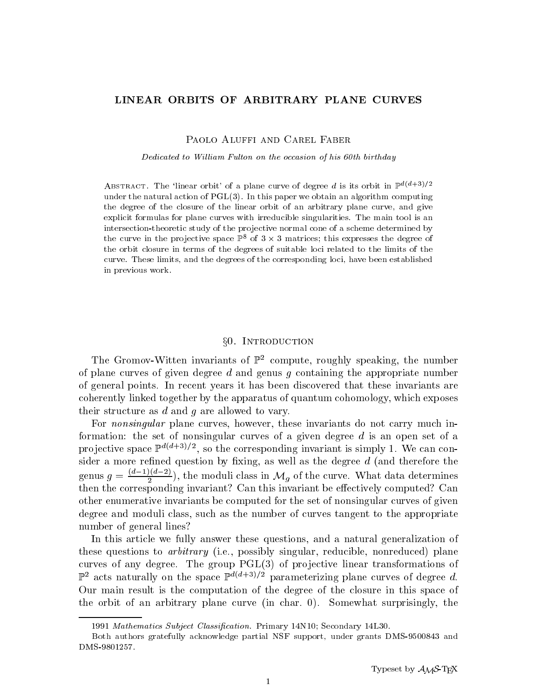# LINEAR ORBITS OF ARBITRARY PLANE CURVES

PAOLO ALUFFI AND CAREL FABER

Dedicated to William Fulton on the occasion of his 60th birthday

ABSTRACT. The 'linear orbit' of a plane curve of degree d is its orbit in  $\mathbb{P}^{d(d+3)/2}$ under the natural action of  $PGL(3)$ . In this paper we obtain an algorithm computing the degree of the closure of the linear orbit of an arbitrary plane curve, and give explicit formulas for plane curves with irreducible singularities. The main tool is an intersection-theoretic study of the pro jective normal cone of a scheme determined by the curve in the projective space  $\mathbb{P}$  of  $3 \times 3$  matrices; this expresses the degree of the orbit closure in terms of the degrees of suitable loci related to the limits of the curve. These limits, and the degrees of the corresponding loci, have been established in previous work.

# x0. Introduction

The Gromov-Witten invariants of  $\mathbb{P}^2$  compute, roughly speaking, the number of plane curves of given degree  $d$  and genus  $g$  containing the appropriate number of general points. In recent years it has been discovered that these invariants are coherently linked together by the apparatus of quantum cohomology, which exposes their structure as d and g are allowed to vary.

For *nonsingular* plane curves, however, these invariants do not carry much information: the set of nonsingular curves of a given degree  $d$  is an open set of a pro jective space  $\mathbb{P}^{n_1+2}$ . So the corresponding invariant is simply 1. We can consider a more refined question by fixing, as well as the degree  $d$  (and therefore the genus  $g = \frac{\lambda^2(1-\lambda^2)}{2}$ , the moduli class in  $\mathcal{M}_g$  of the curve. What data determines then the corresponding invariant? Can this invariant be eectively computed? Can other enumerative invariants be computed for the set of nonsingular curves of given degree and moduli class, such as the number of curves tangent to the appropriate number of general lines?

In this article we fully answer these questions, and a natural generalization of these questions to *arbitrary* (i.e., possibly singular, reducible, nonreduced) plane curves of any degree. The group  $PGL(3)$  of projective linear transformations of  $\mathbb{P}^2$  acts naturally on the space  $\mathbb{P}^{d(d+3)/2}$  parameterizing plane curves of degree d.<br>Our main result is the computation of the degree of the closure in this space of the orbit of an arbitrary plane curve (in char. 0). Somewhat surprisingly, the

<sup>1991</sup> Mathematics Subject Classification. Primary 14N10; Secondary 14L30.

Both authors gratefully acknowledge partial NSF support, under grants DMS-9500843 and DMS-9801257.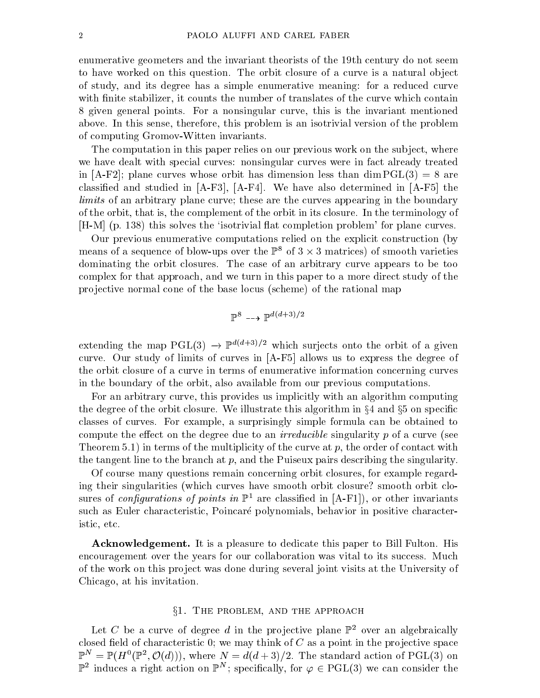enumerative geometers and the invariant theorists of the 19th century do not seem to have worked on this question. The orbit closure of a curve is a natural object of study, and its degree has a simple enumerative meaning: for a reduced curve with finite stabilizer, it counts the number of translates of the curve which contain 8 given general points. For a nonsingular curve, this is the invariant mentioned above. In this sense, therefore, this problem is an isotrivial version of the problem of computing Gromov-Witten invariants.

The computation in this paper relies on our previous work on the subject, where we have dealt with special curves: nonsingular curves were in fact already treated in  $[A-F2]$ ; plane curves whose orbit has dimension less than  $\dim \mathrm{PGL}(3) = 8$  are classified and studied in  $[A-F3]$ ,  $[A-F4]$ . We have also determined in  $[A-F5]$  the limits of an arbitrary plane curve; these are the curves appearing in the boundary of the orbit, that is, the complement of the orbit in its closure. In the terminology of [H-M] (p. 138) this solves the `isotrivial 
at completion problem' for plane curves.

Our previous enumerative computations relied on the explicit construction (by means of a sequence of plow-ups over the  $\mathbb{P}^2$  of 3  $\times$  3 matrices) of smooth varieties dominating the orbit closures. The case of an arbitrary curve appears to be too complex for that approach, and we turn in this paper to a more direct study of the pro jective normal cone of the base locus (scheme) of the rational map

$$
\mathbb{P}^8 \dashrightarrow \mathbb{P}^{d(d+3)/2}
$$

extending the map  $PGL(3) \rightarrow 2^{n+2}$  which surjects onto the orbit of a given curve. Our study of limits of curves in [A-F5] allows us to express the degree of the orbit closure of a curve in terms of enumerative information concerning curves in the boundary of the orbit, also available from our previous computations.

For an arbitrary curve, this provides us implicitly with an algorithm computing the degree of the orbit closure. We illustrate this algorithm in  $\S 4$  and  $\S 5$  on specific classes of curves. For example, a surprisingly simple formula can be obtained to compute the effect on the degree due to an *irreducible* singularity  $p$  of a curve (see Theorem 5.1) in terms of the multiplicity of the curve at  $p$ , the order of contact with the tangent line to the branch at  $p$ , and the Puiseux pairs describing the singularity.

Of course many questions remain concerning orbit closures, for example regarding their singularities (which curves have smooth orbit closure? smooth orbit closures of configurations of points in  $\mathbb{P}^1$  are classified in [A-F1]), or other invariants such as Euler characteristic, Poincare polynomials, behavior in positive characteristic, etc.

Acknowledgement. It is a pleasure to dedicate this paper to Bill Fulton. His encouragement over the years for our collaboration was vital to its success. Much of the work on this pro ject was done during several joint visits at the University of Chicago, at his invitation.

# $§1.$  THE PROBLEM, AND THE APPROACH

Let C be a curve of degree d in the projective plane  $\mathbb{P}^2$  over an algebraically closed field of characteristic 0; we may think of  $C$  as a point in the projective space  $\mathbb{P}^+ = \mathbb{P}(H^-(\mathbb{P}^-, \mathcal{O}(a)))$ , where  $N = a(a+3)/2$ . The standard action of PGL(3) on  $\mathbb{P}^2$  induces a right action on  $\mathbb{P}^*$ ; specifically, for  $\varphi \in {\rm PGL}(3)$  we can consider the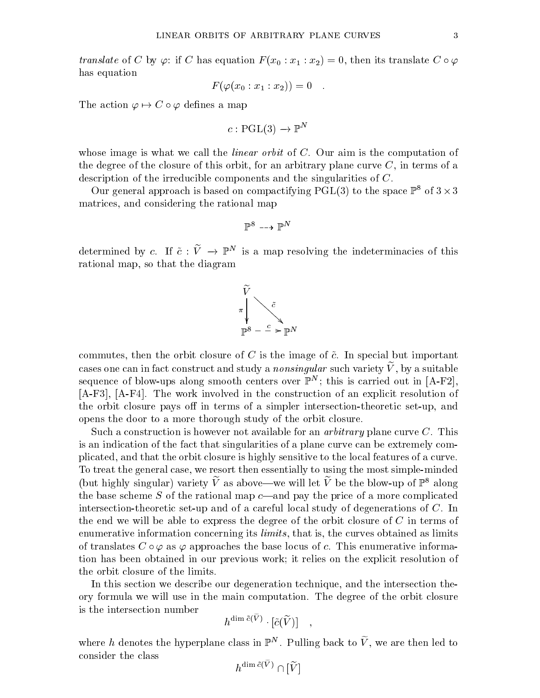*translate* of C by  $\varphi$ : if C has equation  $F$  ( $x_0 : x_1 : x_2$ )  $=$  0, then its translate C  $\circ \varphi$ has equation

$$
F(\varphi(x_0:x_1:x_2))=0
$$

The action  $\varphi \mapsto C \circ \varphi$  defines a map

$$
c: \mathrm{PGL}(3) \to \mathbb{P}^N
$$

whose image is what we call the *linear orbit* of  $C$ . Our aim is the computation of the degree of the closure of this orbit, for an arbitrary plane curve  $C$ , in terms of a description of the irreducible components and the singularities of C.

Our general approach is based on compactifying PGL(3) to the space  $\mathbb{P}^8$  of  $3 \times 3$ matrices, and considering the rational map

$$
\mathbb{P}^8 \dashrightarrow \mathbb{P}^N
$$

determined by c. If  $c$  :  $v \rightarrow r$  is a map resolving the indeterminacies of this rational map, so that the diagram



commutes, then the orbit closure of C is the image of  $\tilde{c}$ . In special but important cases one can in fact construct and study a *nonsingular* such variety  $V$ , by a suitable sequence of blow-ups along smooth centers over  $\mathbb{P}^n$ ; this is carried out in  $|A-\mathbf{r}|_A$ , [A-F3], [A-F4]. The work involved in the construction of an explicit resolution of the orbit closure pays off in terms of a simpler intersection-theoretic set-up, and opens the door to a more thorough study of the orbit closure.

Such a construction is however not available for an *arbitrary* plane curve C. This is an indication of the fact that singularities of a plane curve can be extremely complicated, and that the orbit closure is highly sensitive to the local features of a curve. To treat the general case, we resort then essentially to using the most simple-minded (but highly singular) variety  $\widetilde{V}$  as above—we will let  $\widetilde{V}$  be the blow-up of  $\mathbb{P}^8$  along the base scheme S of the rational map  $c$ —and pay the price of a more complicated intersection-theoretic set-up and of a careful local study of degenerations of C. In the end we will be able to express the degree of the orbit closure of C in terms of enumerative information concerning its *limits*, that is, the curves obtained as limits of translates  $C \circ \varphi$  as  $\varphi$  approaches the base locus of c. This enumerative information has been obtained in our previous work; it relies on the explicit resolution of the orbit closure of the limits.

In this section we describe our degeneration technique, and the intersection theory formula we will use in the main computation. The degree of the orbit closure is the intersection number

$$
h^{\dim{\tilde c(\tilde V)}}\cdot[{\tilde c}(\widetilde V)] \quad,
$$

where  $n$  denotes the hyperplane class in  $\mathbb{P}^\ast$  . Pulling back to  $V$  , we are then led to consider the class

 $h^{\text{uninc}(V)} \cap |V|$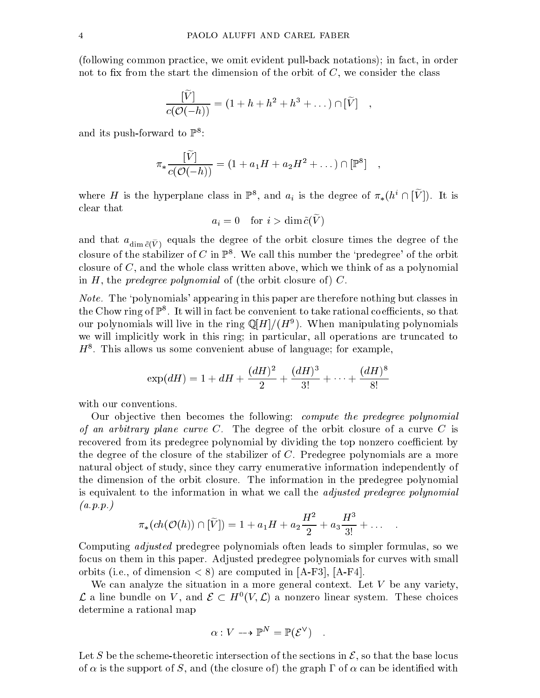(following common practice, we omit evident pull-back notations); in fact, in order not to fix from the start the dimension of the orbit of  $C$ , we consider the class

$$
\frac{[\widetilde{V}]}{c(\mathcal{O}(-h))} = (1 + h + h^2 + h^3 + \dots) \cap [\widetilde{V}] \quad ,
$$

and its push-forward to  $\mathbb{P}^8$ :

$$
\pi_*\frac{\widetilde{[V]}}{c(\mathcal{O}(-h))} = (1 + a_1H + a_2H^2 + \dots) \cap [\mathbb{P}^8] ,
$$

where  $H$  is the hyperplane class in  $\mathbb{P}^8$ , and  $a_i$  is the degree of  $\pi_*(h^* \cap |V|)$ . It is clear that

$$
a_i = 0 \quad \text{for } i > \dim \tilde{c}(V)
$$

 $\alpha$  and the dim  $c(V)$  equals the degree of the orbit closure times the degree of the degree of the degree of the degree of the degree of the degree of the degree of the degree of the degree of the degree of the degree of closure of the stabilizer of C in  $\mathbb{P}^8$ . We call this number the 'predegree' of the orbit closure of C, and the whole class written above, which we think of as a polynomial in  $H$ , the *predegree polynomial* of (the orbit closure of)  $C$ .

Note. The 'polynomials' appearing in this paper are therefore nothing but classes in  $\tau$  the Chow ring of  $\Gamma$  . It will in fact be convenient to take rational coefficients, so that our polynomials will live in the ring  $\psi[H]/(H^+)$ . When manipulating polynomials we will implicitly work in this ring; in particular, all operations are truncated to  $H^{\pm}$ . This allows us some convenient abuse of language; for example,

$$
\exp(dH) = 1 + dH + \frac{(dH)^2}{2} + \frac{(dH)^3}{3!} + \dots + \frac{(dH)^8}{8!}
$$

with our conventions.

Our objective then becomes the following: *compute the predegree polynomial* of an arbitrary plane curve C. The degree of the orbit closure of a curve C is recovered from its predegree polynomial by dividing the top nonzero coefficient by the degree of the closure of the stabilizer of C. Predegree polynomials are a more natural object of study, since they carry enumerative information independently of the dimension of the orbit closure. The information in the predegree polynomial is equivalent to the information in what we call the adjusted predegree polynomial  $(a.p.p.)$ 

$$
\pi_*(ch(\mathcal{O}(h))\cap [\widetilde{V}])=1+a_1H+a_2\frac{H^2}{2}+a_3\frac{H^3}{3!}+\dots\quad .
$$

Computing adjusted predegree polynomials often leads to simpler formulas, so we focus on them in this paper. Adjusted predegree polynomials for curves with small orbits (i.e., of dimension  $< 8$ ) are computed in [A-F3], [A-F4].

We can analyze the situation in a more general context. Let  $V$  be any variety,  $\mathcal L$  a line bundle on  $V$ , and  $\mathcal L \subset H^0(V,\mathcal L)$  a nonzero linear system. These choices determine a rational map

$$
\alpha: V \dashrightarrow \mathbb{P}^N = \mathbb{P}(\mathcal{E}^{\vee}) \quad .
$$

Let S be the scheme-theoretic intersection of the sections in  $\mathcal{E}$ , so that the base locus of  $\alpha$  is the support of S, and (the closure of) the graph  $\Gamma$  of  $\alpha$  can be identified with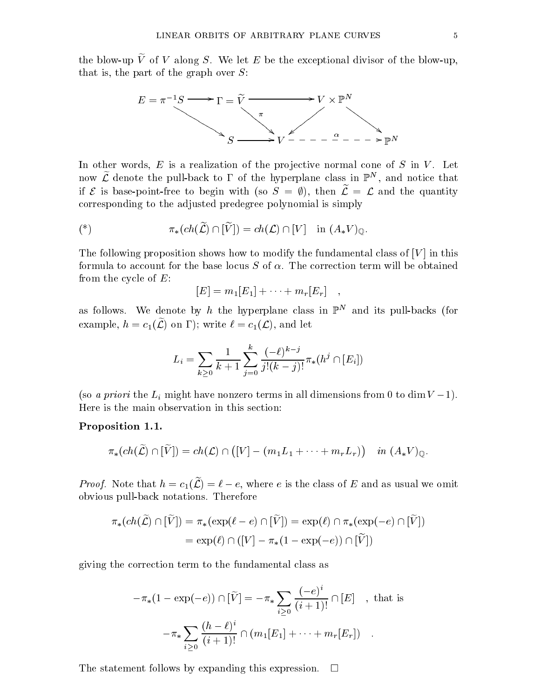the blow-up  $\tilde{V}$  of V along S. We let E be the exceptional divisor of the blow-up, that is, the part of the graph over  $S$ :



In other words,  $E$  is a realization of the projective normal cone of  $S$  in  $V$ . Let now  $\boldsymbol{\mathcal{L}}$  denote the pull-back to 1 of the hyperplane class in  $\mathbb{P}^+$  , and notice that if  $\epsilon$  is base-point-free to begin with (so  $\beta = y$ ), then  $\epsilon = \epsilon$  and the quantity corresponding to the adjusted predegree polynomial is simply

$$
(*) \qquad \qquad \pi_*(ch(\widetilde{\mathcal{L}})\cap[\widetilde{V}])=ch(\mathcal{L})\cap[V] \quad \text{in } (A_*V)_{\mathbb{Q}}.
$$

The following proposition shows how to modify the fundamental class of  $[V]$  in this formula to account for the base locus  $S$  of  $\alpha$ . The correction term will be obtained from the cycle of  $E$ :

$$
[E] = m_1[E_1] + \cdots + m_r[E_r] \quad ,
$$

as follows. We denote by  $n$  the hyperplane class in  $\mathbb{P}^\ast$  and its pull-backs (for example,  $h = c_1(\widetilde{\mathcal{L}})$  on  $\Gamma$ ; write  $\ell = c_1(\mathcal{L})$ , and let

$$
L_i = \sum_{k \ge 0} \frac{1}{k+1} \sum_{j=0}^k \frac{(-\ell)^{k-j}}{j!(k-j)!} \pi_*(h^j \cap [E_i])
$$

(so a *priori* the  $L_i$  might have nonzero terms in all dimensions from 0 to dim  $V = 1$ ). Here is the main observation in this section:

# Proposition 1.1.

$$
\pi_*(ch(\widetilde{\mathcal{L}})\cap[\widetilde{V}])=ch(\mathcal{L})\cap ([V]-(m_1L_1+\cdots+m_rL_r)) \quad in \; (A_*V)_{\mathbb{Q}}.
$$

Froof. Note that  $n = c_1(\mathcal{L}) = i - \epsilon$ , where e is the class of E and as usual we omit obvious pull-back notations. Therefore

$$
\pi_*(ch(\widetilde{\mathcal{L}}) \cap [\widetilde{V}]) = \pi_*(\exp(\ell - e) \cap [\widetilde{V}]) = \exp(\ell) \cap \pi_*(\exp(-e) \cap [\widetilde{V}])
$$
  
=  $\exp(\ell) \cap ([V] - \pi_*(1 - \exp(-e)) \cap [\widetilde{V}])$ 

giving the correction term to the fundamental class as

$$
-\pi_*(1 - \exp(-e)) \cap [\widetilde{V}] = -\pi_* \sum_{i \ge 0} \frac{(-e)^i}{(i+1)!} \cap [E] \quad , \text{ that is}
$$

$$
-\pi_* \sum_{i \ge 0} \frac{(h-\ell)^i}{(i+1)!} \cap (m_1[E_1] + \dots + m_r[E_r]) \quad .
$$

The statement follows by expanding this expression.  $\Box$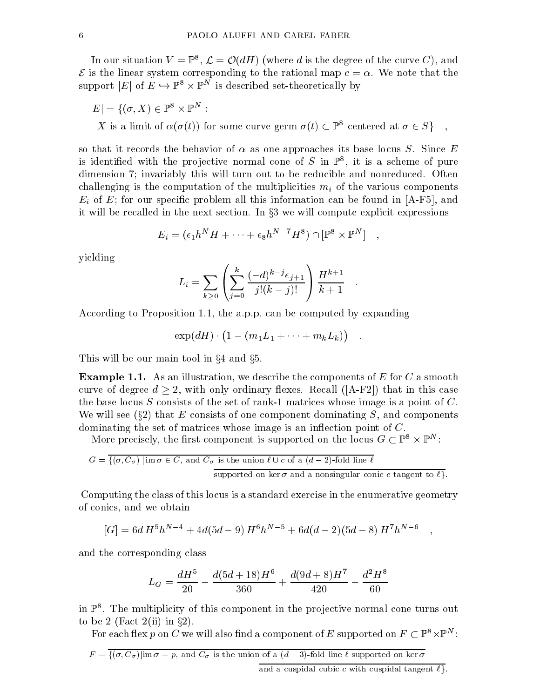In our situation  $V = \mathbb{F}^*, \mathcal{L} = \mathcal{O}(aH)$  (where a is the degree of the curve  $\mathcal{O}$  ), and  $\mathcal E$  is the linear system corresponding to the rational map  $c = \alpha$ . We note that the support  $|E|$  of  $E \hookrightarrow \mathbb{F}^* \times \mathbb{F}^*$  is described set-theoretically by

$$
|E| = \{ (\sigma, X) \in \mathbb{P}^8 \times \mathbb{P}^N :
$$
  
*X* is a limit of  $\alpha(\sigma(t))$  for some curve germ  $\sigma(t) \subset \mathbb{P}^8$  centered at  $\sigma \in S \}$ ,

so that it records the behavior of  $\alpha$  as one approaches its base locus S. Since E is identified with the projective normal cone of  $S$  in  $\mathbb{F}^*$ , it is a scheme of pure dimension 7; invariably this will turn out to be reducible and nonreduced. Often challenging is the computation of the multiplicities minimultiplicities mission of the various components with Ei of E; for our specic problem all this information can be found in [A-F5], and it will be recalled in the next section. In  $\S 3$  we will compute explicit expressions

$$
E_i = (\epsilon_1 h^N H + \dots + \epsilon_8 h^{N-7} H^8) \cap [\mathbb{P}^8 \times \mathbb{P}^N] ,
$$

yielding

$$
L_i = \sum_{k \ge 0} \left( \sum_{j=0}^k \frac{(-d)^{k-j} \epsilon_{j+1}}{j!(k-j)!} \right) \frac{H^{k+1}}{k+1} .
$$

According to Proposition 1.1, the a.p.p. can be computed by expanding

 $\exp(dH) \cdot (1 - (m_1L_1 + \cdots + m_kL_k))$ .

This will be our main tool in  $\S 4$  and  $\S 5$ .

**Example 1.1.** As an illustration, we describe the components of  $E$  for  $C$  a smooth curve of degree d  $2,$  with only ordinary  $\mathbb{R}^n$  that in this case of degree  $\mathbb{R}^n$ the base locus  $S$  consists of the set of rank-1 matrices whose image is a point of  $C$ . We will see  $(\S2)$  that E consists of one component dominating S, and components dominating the set of matrices whose image is an inflection point of  $C$ .

More precisely, the first component is supported on the locus  $G \subset \mathbb{F}^+ \times \mathbb{F}^+$  :

$$
G = \frac{1}{\{ (\sigma, C_{\sigma}) \mid \text{im } \sigma \in C, \text{ and } C_{\sigma} \text{ is the union } \ell \cup c \text{ of a } (d-2) \text{-fold line } \ell \text{ such that } \sigma \text{ is the non-singular conjugate.}
$$

supported on ker  $\sigma$  and a nonsingular conic c tangent to  $\ell$ .<br>Computing the class of this locus is a standard exercise in the enumerative geometry of conics, and we obtain

$$
[G] = 6d H^5 h^{N-4} + 4d(5d - 9) H^6 h^{N-5} + 6d(d - 2)(5d - 8) H^7 h^{N-6} ,
$$

and the corresponding class

$$
L_G = \frac{dH^5}{20} - \frac{d(5d+18)H^6}{360} + \frac{d(9d+8)H^7}{420} - \frac{d^2H^8}{60}
$$

 $\text{m}\,\,\mathbb{F}$  . The multiplicity of this component in the projective normal cone turns out to be 2 (Fact 2(ii) in  $\S 2$ ).

For each nex  $p$  on  $C$  we will also find a component of  $E$  supported on  $F \subset \mathbb{F}^* \times \mathbb{F}^*$  :

 $F = \{(\sigma, C_{\sigma}) | \text{im }\sigma = p$ , and  $C_{\sigma}$  is the union of a  $(d-3)$ -fold line  $\ell$  supported on ker  $\sigma$ 

and a cuspidal cubic c with cuspidal tangent  $\ell$ .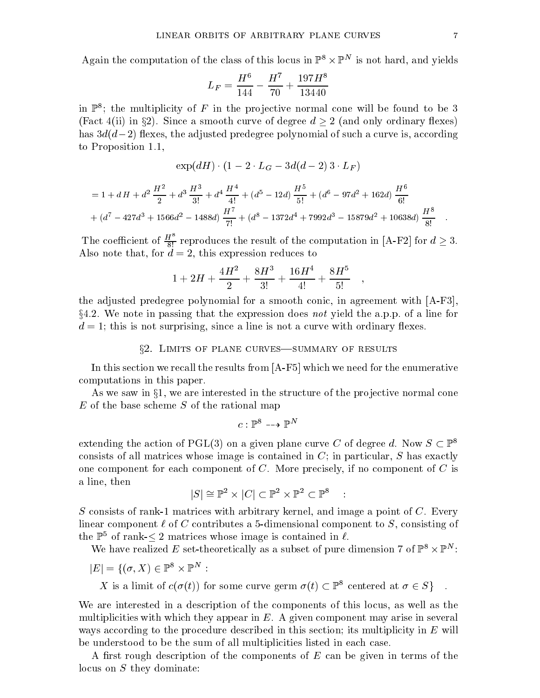Again the computation of the class of this locus in  $\mathbb{F}^* \times \mathbb{F}^*$  is not hard, and yields

$$
L_F = \frac{H^6}{144} - \frac{H^7}{70} + \frac{197H^8}{13440}
$$

in  $\mathbb{F}^*$ ; the multiplicity of  $F$  in the projective normal cone will be found to be  $\mathfrak d$ (Fact 4(ii) in §2). Since a smooth curve of degree  $d > 2$  (and only ordinary flexes) has  $3d(d-2)$  flexes, the adjusted predegree polynomial of such a curve is, according to Proposition 1.1,

$$
\exp(dH) \cdot (1 - 2 \cdot L_G - 3d(d-2)3 \cdot L_F)
$$

$$
= 1 + dH + d^{2} \frac{H^{2}}{2} + d^{3} \frac{H^{3}}{3!} + d^{4} \frac{H^{4}}{4!} + (d^{5} - 12d) \frac{H^{5}}{5!} + (d^{6} - 97d^{2} + 162d) \frac{H^{6}}{6!}
$$

$$
+ (d^{7} - 427d^{3} + 1566d^{2} - 1488d) \frac{H^{7}}{7!} + (d^{8} - 1372d^{4} + 7992d^{3} - 15879d^{2} + 10638d) \frac{H^{8}}{8!}
$$

The coefficient of  $\frac{H^2}{8!}$  reproduces the result of the computation in [A-F2] for  $d \geq 3$ . Also note that, for  $d = 2$ , this expression reduces to

$$
1+2H+\frac{4H^2}{2}+\frac{8H^3}{3!}+\frac{16H^4}{4!}+\frac{8H^5}{5!} \quad ,
$$

the adjusted predegree polynomial for a smooth conic, in agreement with [A-F3],  $\S4.2$ . We note in passing that the expression does not yield the a.p.p. of a line for  $d = 1$ ; this is not surprising, since a line is not a curve with ordinary flexes.

## $\S2.$  LIMITS OF PLANE CURVES-SUMMARY OF RESULTS

In this section we recall the results from [A-F5] which we need for the enumerative computations in this paper.

As we saw in  $\S1$ , we are interested in the structure of the projective normal cone  $E$  of the base scheme  $S$  of the rational map

$$
c: \mathbb{P}^8 \dashrightarrow \mathbb{P}^N
$$

extending the action of PGL(3) on a given plane curve C of degree d. Now  $S \subset \mathbb{P}^8$ consists of all matrices whose image is contained in  $C$ ; in particular,  $S$  has exactly one component for each component of  $C$ . More precisely, if no component of  $C$  is a line, then

$$
|S| \cong \mathbb{P}^2 \times |C| \subset \mathbb{P}^2 \times \mathbb{P}^2 \subset \mathbb{P}^8 \quad : \quad
$$

S consists of rank-1 matrices with arbitrary kernel, and image a point of  $C$ . Every linear component  $\ell$  of C contributes a 5-dimensional component to S, consisting of the  $\mathbb{P}^5$  of rank- $\leq 2$  matrices whose image is contained in  $\ell$ .

We have realized  $E$  set-theoretically as a subset of pure dimension 7 of  $\mathbb{F}^* \times \mathbb{F}^*$ :

$$
|E| = \{(\sigma, X) \in \mathbb{P}^8 \times \mathbb{P}^N :
$$

X is a limit of  $c(\sigma(t))$  for some curve germ  $\sigma(t) \subset \mathbb{P}^8$  centered at  $\sigma \in S$ 

We are interested in a description of the components of this locus, as well as the multiplicities with which they appear in  $E$ . A given component may arise in several ways according to the procedure described in this section; its multiplicity in E will be understood to be the sum of all multiplicities listed in each case.

A first rough description of the components of  $E$  can be given in terms of the locus on S they dominate: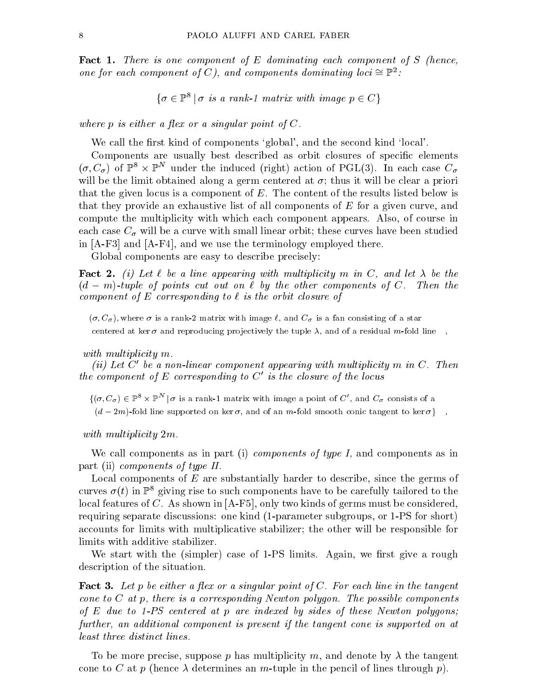**Fact 1.** There is one component of E dominating each component of S (hence, one for each component of  $\cup$  ), and components dominating loci  $\equiv$   $\mathbb{F}^{\pm}$ :

$$
\{\sigma \in \mathbb{P}^8 \mid \sigma \text{ is a rank-1 matrix with image } p \in C\}
$$

where p is either or press at a singular point of C.

We call the first kind of components 'global', and the second kind 'local'.

Components are usually best described as orbit closures of specific elements  $(\sigma, \mathcal{C}_\sigma)$  of  $\mathbb{P}^\times$   $\times$   $\mathbb{P}^\times$  under the induced (right) action of PGL(3). In each case  $\mathcal{C}_\sigma$ will be the limit of the limit of  $\alpha$  and  $\alpha$  germ centered at  $\alpha$  , then it will be clear as prioring and that the given locus is a component of  $E$ . The content of the results listed below is that they provide an exhaustive list of all components of E for a given curve, and compute the multiplicity with which each component appears. Also, of course in each case C will be a curve with small linear orbital linear orbit; these curves have been studied between studied in [A-F3] and [A-F4], and we use the terminology employed there.

Global components are easy to describe precisely:

**Fact 2.** (i) Let  $\ell$  be a line appearing with multiplicity m in C, and let  $\lambda$  be the (d m)-tuple of points cut out on ` by the other components of <sup>C</sup>. Then the component of E corresponding to a is the orbit closure of the orbit closure of

 $(\sigma, C_{\sigma})$ , where  $\sigma$  is a rank-2 matrix with image  $\ell$ , and  $C_{\sigma}$  is a fan consisting of a star centered at ker  $\sigma$  and reproducing projectively the tuple  $\lambda$ , and of a residual m-fold line,

with multiplicity multiplicity multiplicity and the set of the set of the set of the set of the set of the set

(ii) Let C<sup>0</sup> be <sup>a</sup> non-linear component appearing with multiplicity m in C. Then the component of  $E$  corresponding to  $C_0$  is the closure of the locus

 $\{(\sigma, \mathcal{C}_\sigma) \in \mathbb{P}^* \times \mathbb{P}^* \mid \sigma \text{ is a rank-1 matrix with image a point of } \mathcal{C} \}$ , and  $\mathcal{C}_\sigma$  consists of a

 $(d-2m)$ -fold line supported on ker  $\sigma$ , and of an m-fold smooth conic tangent to ker  $\sigma$ },

with multiplicity and multiplicity and multiplicity and multiplicity and multiplicity and multiplicity and multiplicity and multiplicity and multiplicity and multiplicity and multiplicity and multiplicity and multiplicity

We call components as in part (i) *components of type 1*, and components as in part (ii) components of type II.

Local components of  $E$  are substantially harder to describe, since the germs of curves  $\sigma(t)$  in  $\mathbb{P}^8$  giving rise to such components have to be carefully tailored to the local features of C. As shown in [A-F5], only two kinds of germs must be considered, requiring separate discussions: one kind (1-parameter subgroups, or 1-PS for short) accounts for limits with multiplicative stabilizer; the other will be responsible for limits with additive stabilizer.

We start with the (simpler) case of 1-PS limits. Again, we first give a rough description of the situation.

**Fact 3.** Let p be either a flex or a singular point of C. For each line in the tangent cone to C at p, there is <sup>a</sup> corresponding Newton polygon. The possible components of Es was in Fo centered at p are indexed by sides of these of these I these Newton polygons; further, an additional component is present if the tangent cone is supported on at

To be more precise, suppose p has multiplicity m, and denote by  $\lambda$  the tangent cone to C at p (hence  $\lambda$  determines an m-tuple in the pencil of lines through p).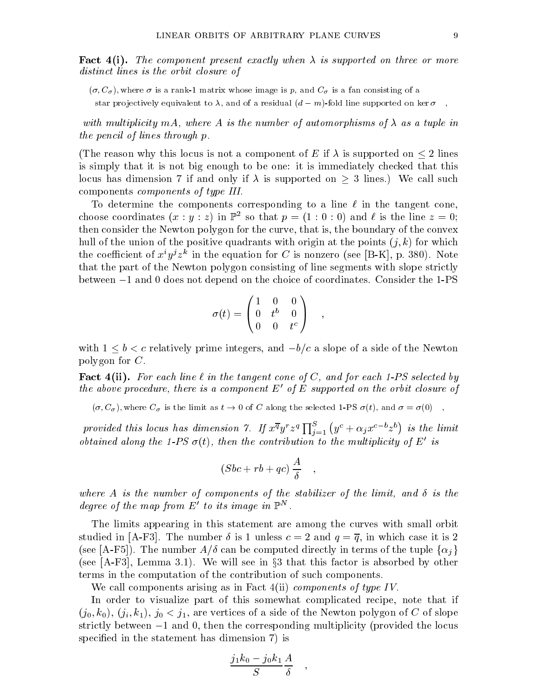**Fact 4(i).** The component present exactly when  $\lambda$  is supported on three or more distinct annual and orbit closure of

 $(\sigma, C_{\sigma})$ , where  $\sigma$  is a rank-1 matrix whose image is p, and  $C_{\sigma}$  is a fan consisting of a

star projectively equivalent to  $\lambda$ , and of a residual  $(d-m)$ -fold line supported on ker  $\sigma$ 

with multiplicity ma, where A is the number of automorphisms of a and a tuple in the state in the pencil of lines through p.

(The reason why this locus is not a component of E if  $\mathbb{R}$  is supported on  $2$  is supported on  $2$  lines on  $2$ is simply that it is not big enough to be one: it is immediately checked that this locus has dimension 7 if and only if is supported on <sup>3</sup> lines.) We call such components components of type III.

To determine the components corresponding to a line  $\ell$  in the tangent cone, choose coordinates  $(x : y : z)$  in F so that  $p = (1 : 0 : 0)$  and  $\ell$  is the line  $z = 0$ ; then consider the Newton polygon for the curve, that is, the boundary of the convex hull of the union of the positive quadrants with origin at the points  $(j, k)$  for which the coefficient of  $x^{\cdot}y^{\cdot}z^{\cdot}$  in the equation for C is nonzero (see [B-N], p. 380). Note that the part of the Newton polygon consisting of line segments with slope strictly between  $-1$  and 0 does not depend on the choice of coordinates. Consider the 1-PS

$$
\sigma(t) = \begin{pmatrix} 1 & 0 & 0 \\ 0 & t^b & 0 \\ 0 & 0 & t^c \end{pmatrix} ,
$$

with  $1$  , and the contractively prime integratively similar integers, and side of the Newton Side of the Newton Side of the Newton Side of the Newton Side of the Newton Side of the Newton Side of the Newton Side of the N polygon for C.

**Fact 4(ii).** For each line  $\ell$  in the tangent cone of C, and for each 1-PS selected by the above proceaure, there is a component  $E$  -of  $E$  supported on the orbit closure of  $\,$ 

 $(\sigma, C_{\sigma})$ , where  $C_{\sigma}$  is the limit as  $t \to 0$  of C along the selected 1-PS  $\sigma(t)$ , and  $\sigma = \sigma(0)$ ,

provided this locus has dimension 7. If  $x^{\overline{q}}y^r z^q \prod_{i=1}^S (y^c + \alpha_j x^{c-b} z^b)$  is the limit obtained along the 1-PS  $\sigma(t)$ , then the contribution to the multiplicity of E- is

$$
(Sbc+rb+qc)\,\frac{A}{\delta} \quad ,
$$

where A is the number of components of the stabilizer of the limit, and the stabilizer of the limit, and is th degree of the map from  $E_0$  to its image in  $\mathbb{P}^{\sim}$ .

The limits appearing in this statement are among the curves with small orbit studied in [A-F3]. The number  $\delta$  is 1 unless  $c = 2$  and  $q = \overline{q}$ , in which case it is 2 (see [A-F5]). The number  $A/\delta$  can be computed directly in terms of the tuple  $\{\alpha_i\}$ and the contract of the contract of the contract of the contract of the contract of the contract of the contract of (see F3), Lemma 3.1). We will see in this factor is absorbed by other is absorbed by other is absorbed by other is absorbed by other is absorbed by other is absorbed by other is absorbed by other is absorbed by other is a terms in the computation of the contribution of such components.

We call components arising as in Fact  $4(ii)$  components of type IV.

In order to visualize part of this somewhat complicated recipe, note that if  $(j_0, k_0),\,(j_i, k_1),\,j_0 < j_1,$  are vertices of a side of the Newton polygon of  $C$  of slope strictly between  $-1$  and 0, then the corresponding multiplicity (provided the locus specified in the statement has dimension 7) is

$$
\frac{j_1k_0 - j_0k_1}{S} \frac{A}{\delta} \quad ,
$$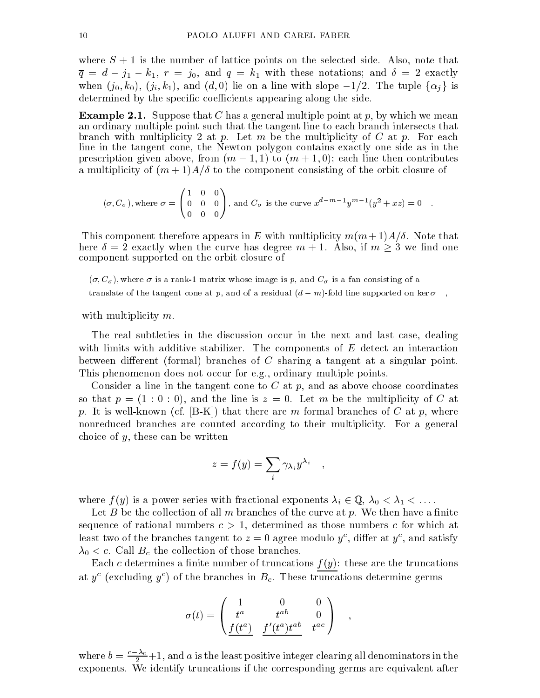where  $S + 1$  is the number of lattice points on the selected side. Also, note that  $\gamma$  and  $j$  in the joint theory  $\gamma$  and  $\gamma$  is the contract the contractions; and  $\gamma$  and  $\gamma$  and  $\gamma$ when  $(j_0, k_0)$ ,  $(j_i, k_1)$ , and  $(d, 0)$  lie on a line with slope  $-1/2$ . The tuple  $\{\alpha_i\}$  is determined by the specific coefficients appearing along the side.

**Example 2.1.** Suppose that C has a general multiple point at p, by which we mean an ordinary multiple point such that the tangent line to each branch intersects that branch with multiplicity 2 at p. Let m be the multiplicity of C at p. For each line in the tangent cone, the Newton polygon contains exactly one side as in the prescription given above, from (m),  $\alpha$  ,  $\alpha$  ,  $\alpha$  ,  $\alpha$  ,  $\alpha$  ,  $\alpha$  ,  $\alpha$  ,  $\alpha$  ,  $\alpha$  ,  $\alpha$  ,  $\alpha$  ,  $\alpha$  ,  $\alpha$  ,  $\alpha$  ,  $\alpha$  ,  $\alpha$  ,  $\alpha$  ,  $\alpha$  ,  $\alpha$  ,  $\alpha$  ,  $\alpha$  ,  $\alpha$  ,  $\alpha$  ,  $\alpha$  ,  $\alpha$  ,  $\alpha$  ,  $\alpha$ a multiplicity of  $(m+1)A/\delta$  to the component consisting of the orbit closure of

$$
(\sigma, C_{\sigma})
$$
, where  $\sigma = \begin{pmatrix} 1 & 0 & 0 \\ 0 & 0 & 0 \\ 0 & 0 & 0 \end{pmatrix}$ , and  $C_{\sigma}$  is the curve  $x^{d-m-1}y^{m-1}(y^2 + xz) = 0$ .

This component therefore appears in E with multiplicity  $m(m+1)A/\delta$ . Note that here  $\delta = 2$  exactly when the curve has degree  $m + 1$ . Also, if  $m \geq 3$  we find one component supported on the orbit closure of

 $(\sigma, C_{\sigma})$ , where  $\sigma$  is a rank-1 matrix whose image is p, and  $C_{\sigma}$  is a fan consisting of a translate of the tangent cone at p, and of a residual  $(d-m)$ -fold line supported on ker  $\sigma$ ,

with multiplicity m.

The real subtleties in the discussion occur in the next and last case, dealing with limits with additive stabilizer. The components of  $E$  detect an interaction between different (formal) branches of  $C$  sharing a tangent at a singular point. This phenomenon does not occur for e.g., ordinary multiple points.

Consider a line in the tangent cone to  $C$  at  $p$ , and as above choose coordinates so that  $p = (1 : 0 : 0)$ , and the line is  $z = 0$ . Let m be the multiplicity of C at p. It is well-known (cf. [B-K]) that there are m formal branches of C at p, where nonreduced branches are counted according to their multiplicity. For a general choice of  $y$ , these can be written

$$
z = f(y) = \sum_i \gamma_{\lambda_i} y^{\lambda_i} \quad ,
$$

where f (y) is a power series with fractional exponents in  $\mathcal{R}^{(1)}$  ,  $\mathcal{R}^{(1)}$  ,  $\mathcal{R}^{(1)}$  ,  $\mathcal{R}^{(1)}$  ,  $\mathcal{R}^{(1)}$  ,  $\mathcal{R}^{(1)}$  ,  $\mathcal{R}^{(1)}$  ,  $\mathcal{R}^{(1)}$  ,  $\mathcal{R}^{(1)}$  ,  $\mathcal{R}^{(1)}$  ,  $\mathcal{R}^{(1)}$ 

Let B be the collection of all m branches of the curve at p. We then have a finite sequence of rational numbers  $c > 1$ , determined as those numbers c for which at least two of the branches tangent to  $z=0$  agree modulo  $y^*$ , differ at  $y^*$ , and satisfy  $\lambda_0 < c$ . Call  $B_c$  the collection of those branches.

Each c determines a finite number of truncations  $f(y)$ : these are the truncations at  $y^c$  (excluding  $y^c$ ) of the branches in  $B_c$ . These truncations determine germs

$$
\sigma(t) = \begin{pmatrix} 1 & 0 & 0 \\ t^a & t^{ab} & 0 \\ \frac{f(t^a)}{a} & \frac{f'(t^a)t^{ab}}{a} & t^{ac} \end{pmatrix} ,
$$

where  $b = \frac{c_{10}}{2} +1$ , and a is the least positive integer clearing all denominators in the exponents. We identify truncations if the corresponding germs are equivalent after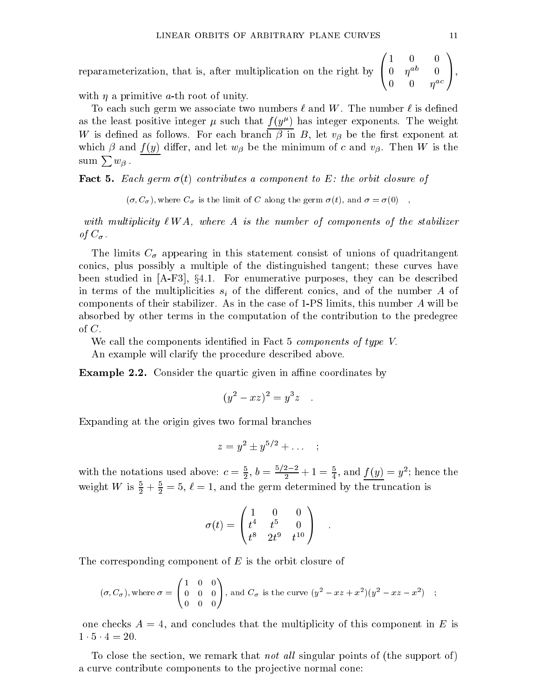reparameterization, that is, after multiplication on the right by  $\begin{pmatrix} 1 & 0 & 0 \\ 0 & n^{ab} & 0 \end{pmatrix}$ 1 0 0  $0 \quad \eta^{-1} \quad 0 \quad 1$ ,  $\left(\begin{array}{ccc} 1 & 0 & 0 \ 0 & \eta^{ab} & 0 \ 0 & 0 & \eta^{ac} \end{array}\right),$ A,

with  $\eta$  a primitive a-th root of unity.

To each such germ we associate two numbers  $\ell$  and  $W$ . The number  $\ell$  is defined as the least positive integer  $\mu$  such that  $f(y^\mu)$  has integer exponents. The weight which is defined as follows. For each branch is exponent  $\mu$  and  $\mu$  and  $\mu$  is a sense the second at the second  $\mathcal{N}$  and f (y) dier, and let we then we have the minimum of c and via the minimum of c and via the minimum of c and via the minimum of c and via the minimum of c and via the minimum of c and via the minimum of c and v  $\text{sum }\sum w_{\beta}$ .

**Fact 5.** Each germ  $\sigma(t)$  contributes a component to E: the orbit closure of

 $(\sigma, C_{\sigma})$ , where  $C_{\sigma}$  is the limit of C along the germ  $\sigma(t)$ , and  $\sigma = \sigma(0)$ ,

with multiplicity of the stabilizer of the number of the stabilizer of the stabilizer of the stabilizer of the  $\sim$   $\prime$ .

The limits C appearing in this statement consist of unions of unions of unions of unions of  $\Omega$ conics, plus possibly a multiple of the distinguished tangent; these curves have been studied in  $[A-F3], §4.1.$  For enumerative purposes, they can be described in terms of the multiplicities si of the dierent conics, and of the number <sup>A</sup> of components of their stabilizer. As in the case of 1-PS limits, this number A will be absorbed by other terms in the computation of the contribution to the predegree of C.

We call the components identified in Fact 5 *components of type V*. An example will clarify the procedure described above.

**Example 2.2.** Consider the quartic given in affine coordinates by

$$
(y^2 - xz)^2 = y^3z
$$

Expanding at the origin gives two formal branches

$$
z = y^2 \pm y^{5/2} + \dots \quad ;
$$

with the notations used above:  $c=\frac{3}{2},$   $b=\frac{7}{2}-+1=\frac{3}{4},$  and  $\underline{f(y)}=y^2;$  hence the weight W is  $\frac{1}{2} + \frac{1}{2} = 5, \ell = 1$ , and the germ determined by the truncation is

$$
\sigma(t) = \begin{pmatrix} 1 & 0 & 0 \\ t^4 & t^5 & 0 \\ t^8 & 2t^9 & t^{10} \end{pmatrix} .
$$

The corresponding component of  $E$  is the orbit closure of

$$
(\sigma, C_{\sigma}), \text{ where } \sigma = \begin{pmatrix} 1 & 0 & 0 \\ 0 & 0 & 0 \\ 0 & 0 & 0 \end{pmatrix}, \text{ and } C_{\sigma} \text{ is the curve } (y^2 - xz + x^2)(y^2 - xz - x^2) \quad ;
$$

one checks  $A = 4$ , and concludes that the multiplicity of this component in E is

To close the section, we remark that *not all* singular points of (the support of) a curve contribute components to the projective normal cone: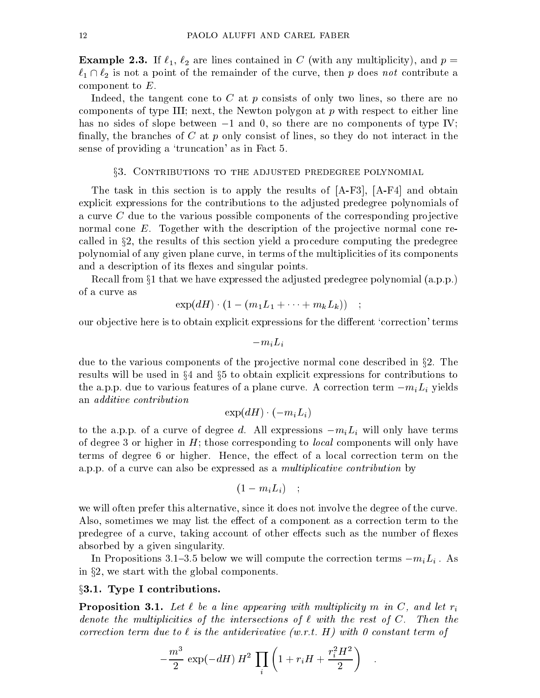**Example 2.3.** If  $\ell_1$ ,  $\ell_2$  are lines contained in C (with any multiplicity), and  $p =$  $\ell_1 \cap \ell_2$  is not a point of the remainder of the curve, then p does not contribute a component to E.

Indeed, the tangent cone to C at p consists of only two lines, so there are no components of type III; next, the Newton polygon at  $p$  with respect to either line has no sides of slope between  $-1$  and 0, so there are no components of type IV; finally, the branches of C at p only consist of lines, so they do not interact in the sense of providing a 'truncation' as in Fact 5.

#### x3. Contributions to the adjusted predegree polynomial

The task in this section is to apply the results of [A-F3], [A-F4] and obtain explicit expressions for the contributions to the adjusted predegree polynomials of a curve  $C$  due to the various possible components of the corresponding projective normal cone  $E$ . Together with the description of the projective normal cone recalled in x2, the results of this section yield <sup>a</sup> procedure computing the predegree polynomial of any given plane curve, in terms of the multiplicities of its components and a description of its flexes and singular points.

Recall from  $\S1$  that we have expressed the adjusted predegree polynomial  $(a, p, p)$ . of a curve as

$$
\exp(dH)\cdot(1-(m_1L_1+\cdots+m_kL_k))\quad ;
$$

our objective here is to obtain explicit expressions for the different 'correction' terms

$$
-m_iL_i
$$

due to the various components of the projective normal cone described in  $\S 2$ . The results will be used in  $\S 4$  and  $\S 5$  to obtain explicit expressions for contributions to the a.p.p. due to various features of a plane curve. A correction term military  $\ell \ell$  ,  $\ell'$ an additive contribution

$$
\exp(dH) \cdot (-m_i L_i)
$$

to the a.p.p. of a curve of degree d.A. l expressions military military military military military military military military military military military military military military military military military military milit of degree 3 or higher in  $H$ ; those corresponding to *local* components will only have terms of degree 6 or higher. Hence, the effect of a local correction term on the a.p.p. of a curve can also be expressed as a multiplicative contribution by

$$
(1-m_iL_i) \quad ; \quad
$$

we will often prefer this alternative, since it does not involve the degree of the curve. Also, sometimes we may list the effect of a component as a correction term to the predegree of a curve, taking account of other effects such as the number of flexes absorbed by a given singularity.

In Propositions 3.1{3.5 below we will compute the correction terms miLi . As in x2, we start with the global components.

### $\S 3.1.$  Type I contributions.

**Proposition 3.1.** Let  $\ell$  be a line appearing with multiplicity m in C, and let  $r_i$ denote the multiplicities of the intersections of a with the rest of C. Then the rest of C. Then the rest of C correction term due to in the anti-derivative (w.r.t. H) with 0 constant term of term of  $\sim$ 

$$
-\frac{m^3}{2}\,\exp(-dH)\,H^2\,\prod_i\left(1+r_iH+\frac{r_i^2H^2}{2}\right)\quad.
$$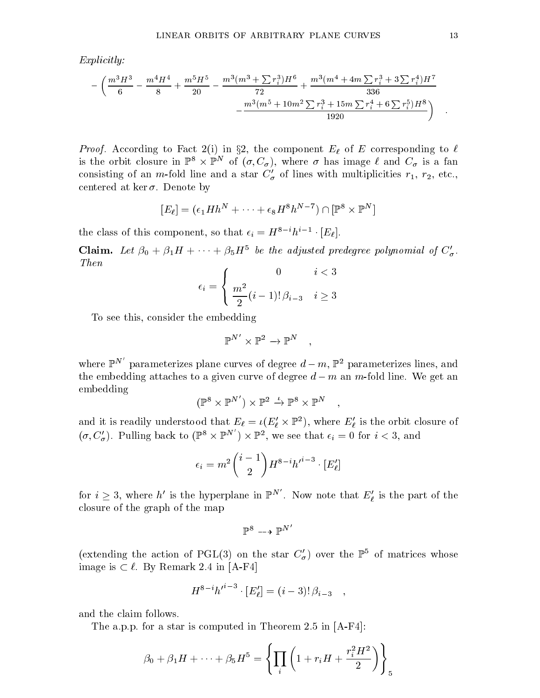Explicitly:

$$
-\left(\frac{m^3H^3}{6}-\frac{m^4H^4}{8}+\frac{m^5H^5}{20}-\frac{m^3(m^3+\sum r_i^3)H^6}{72}+\frac{m^3(m^4+4m\sum r_i^3+3\sum r_i^4)H^7}{336}\\-\frac{m^3(m^5+10m^2\sum r_i^3+15m\sum r_i^4+6\sum r_i^5)H^8}{1920}\right)
$$

 $P$ roof. According to Fact 2(2) in  $\{P\}$  in the component  $E$  of  $E$  corresponding to  $\{P\}$ is the orbit closure in  $\mathbb{F}^* \times \mathbb{F}^*$  of  $(\sigma, \mathcal{C}_\sigma)$ , where  $\sigma$  has image  $\ell$  and  $\mathcal{C}_\sigma$  is a fan consisting of an  $m$ -fold line and a star  $C_{\sigma}$  of lines with multiplicities  $r_1, r_2,$  etc., centered at ker  $\sigma$ . Denote by

$$
[E_{\ell}] = (\epsilon_1 H h^N + \dots + \epsilon_8 H^8 h^{N-7}) \cap [\mathbb{P}^8 \times \mathbb{P}^N]
$$

the class of this component, so that  $\epsilon_i = H^* \cdot h^* \cdot |E_\ell|.$ 

**Claim.** Let  $\beta_0 + \beta_1 H + \cdots + \beta_5 H^5$  be the adjusted predegree polynomial of  $C'_\sigma$ . Then

$$
\epsilon_i = \begin{cases} 0 & i < 3\\ \frac{m^2}{2}(i-1)!\,\beta_{i-3} & i \ge 3 \end{cases}
$$

To see this, consider the embedding

$$
\mathbb{P}^{N'} \times \mathbb{P}^2 \to \mathbb{P}^N \quad ,
$$

where  $\mathbb{P}^{N'}$  parameterizes plane curves of degree  $d - m$ ,  $\mathbb{P}^2$  parameterizes lines, and the embedding attaches to a given curve of degree  $d - m$  an m-fold line. We get an embedding

$$
(\mathbb{P}^8 \times \mathbb{P}^{N'}) \times \mathbb{P}^2 \stackrel{\iota}{\to} \mathbb{P}^8 \times \mathbb{P}^N ,
$$

and it is readily understood that  $E_\ell \equiv \iota(E_\ell \times \mathbb{F}^+ )$ , where  $E_\ell$  is the orbit closure of  $(\sigma, C'_{\sigma})$ . Pulling back to  $(\mathbb{P}^8 \times \mathbb{P}^N) \times \mathbb{P}^2$ , we see that  $\epsilon_i = 0$  for  $i < 3$ , and

$$
\epsilon_i = m^2 \binom{i-1}{2} H^{8-i} h'^{i-3} \cdot [E'_\ell]
$$

for  $i \geq 3$ , where h' is the hyperplane in  $\mathbb{P}^N$  . Now note that  $E'_\ell$  is the part of the closure of the graph of the map

$$
\mathbb{P}^8 \dashrightarrow \mathbb{P}^{N'}
$$

(extending the action of PGL(3) on the star  $C_{\sigma}$ ) over the F5 of matrices whose image is  $\subset \ell$ . By Remark 2.4 in [A-F4]

$$
H^{8-i}h'^{i-3}\cdot [E'_{\ell}] = (i-3)!\,\beta_{i-3}\quad ,
$$

and the claim follows.

The a.p.p. for a star is computed in Theorem 2.5 in [A-F4]:

$$
\beta_0 + \beta_1 H + \dots + \beta_5 H^5 = \left\{ \prod_i \left( 1 + r_i H + \frac{r_i^2 H^2}{2} \right) \right\}_5
$$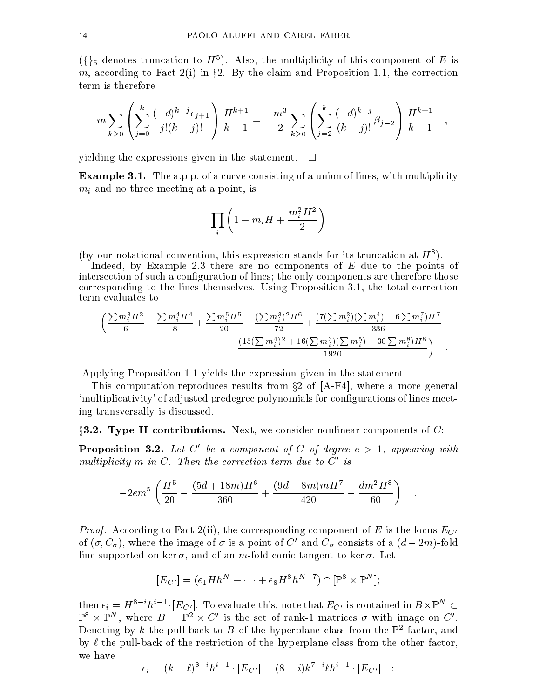$(\{\})_5$  denotes truncation to  $H^+$ ). Also, the multiplicity of this component of E is m, according to Fact 2(i) in  $\mu$  . By the condition in  $\mu$  the correction  $\mu$  and  $\mu$ term is therefore

$$
-m\sum_{k\geq 0}\left(\sum_{j=0}^k\frac{(-d)^{k-j}\epsilon_{j+1}}{j!(k-j)!}\right)\frac{H^{k+1}}{k+1}=-\frac{m^3}{2}\sum_{k\geq 0}\left(\sum_{j=2}^k\frac{(-d)^{k-j}}{(k-j)!}\beta_{j-2}\right)\frac{H^{k+1}}{k+1}\quad,
$$

yielding the expressions given in the statement.  $\square$ 

Example 3.1. The a.p.p. of a curve consisting of a union of lines, with multiplicity minimizing at a point  $\Omega$  and if  $\Gamma$  is a point  $\Omega$ 

$$
\prod_i \left(1+m_iH+\frac{m_i^2H^2}{2}\right)
$$

(by our notational convention, this expression stands for its truncation at  $H^{\pm}$ ).

Indeed, by Example 2.3 there are no components of  $E$  due to the points of intersection of such a configuration of lines; the only components are therefore those corresponding to the lines themselves. Using Proposition 3.1, the total correction term evaluates to

$$
-\left(\frac{\sum m_i^3H^3}{6}-\frac{\sum m_i^4H^4}{8}+\frac{\sum m_i^5H^5}{20}-\frac{(\sum m_i^3)^2H^6}{72}+\frac{(7(\sum m_i^3)(\sum m_i^4)-6\sum m_i^7)H^7}{336}\\-\frac{(15(\sum m_i^4)^2+16(\sum m_i^3)(\sum m_i^5)-30\sum m_i^8)H^8}{1920}\right)\hspace{3cm}.
$$

Applying Proposition 1.1 yields the expression given in the statement.

This computation reproduces results from  $\S 2$  of [A-F4], where a more general `multiplicativity' of adjusted predegree polynomials for congurations of lines meeting transversally is discussed.

 $\S$ 3.2. Type II contributions. Next, we consider nonlinear components of C:

**Proposition 3.2.** Let C' be a component of C of degree  $e > 1$ , appearing with multiplicity in  $m \cup 1$  hen the correction term and to  $C$  is

$$
-2em5 \left(\frac{H5}{20} - \frac{(5d + 18m)H6}{360} + \frac{(9d + 8m)mH7}{420} - \frac{dm2H8}{60}\right)
$$

 $P_{\text{F}}$  and  $P_{\text{F}}$  the  $P_{\text{F}}$  2 is the local  $P_{\text{F}}$  is the local  $P_{\text{F}}$ of ( $\sigma$ ,  $C_{\sigma}$ ), where the image of  $\sigma$  is a point of C and  $C_{\sigma}$  consists of a ( $a = z m$ )-fold line supported on ker $\sigma$ , and of an m-fold conic tangent to ker  $\sigma$ . Let

$$
[E_{C'}] = (\epsilon_1 H h^N + \dots + \epsilon_8 H^8 h^{N-7}) \cap [\mathbb{P}^8 \times \mathbb{P}^N];
$$

then  $\epsilon_i = H^{\pm}$  in Fig. [Eq. ]. To evaluate this, note that  $E_{C'}$  is contained in  $B\times\mathbb{P}^{\pm}$  (  $\mathbb{P}^{\ast} \times \mathbb{P}^{\ast}$ , where  $B = \mathbb{P}^{\ast} \times C$  is the set of rank-1 matrices  $\sigma$  with image on  $C$  . Denoting by  $\kappa$  the pull-back to  $D$  of the hyperplane class from the  $\mathbb{F}^+$  factor, and by  $\ell$  the pull-back of the restriction of the hyperplane class from the other factor,

$$
\epsilon_i = (k+\ell)^{8-i}h^{i-1} \cdot [E_{C'}] = (8-i)k^{7-i}\ell h^{i-1} \cdot [E_{C'}]
$$
;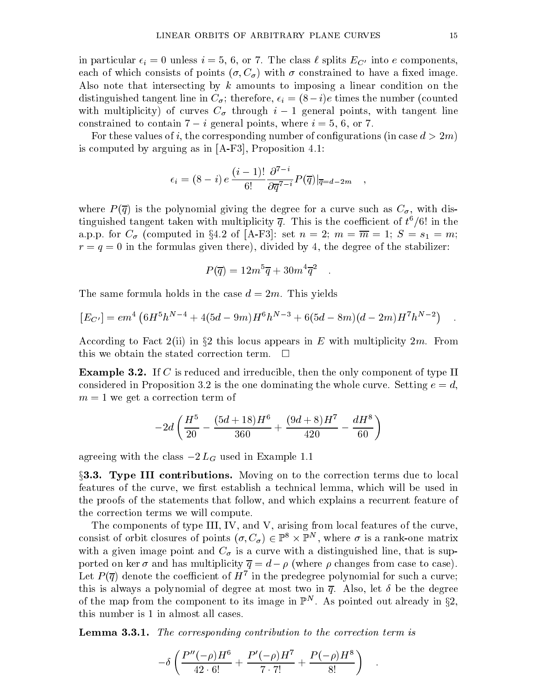in particular  $\alpha_i$  = 0 united  $\alpha_i$  = 0, or  $\alpha_i$  is the class copies EQ into e components, each of which consists of points  $(\sigma, C_{\sigma})$  with  $\sigma$  constrained to have a fixed image. Also note that intersecting by k amounts to imposing a linear condition on the distinguished that is the number of the number (counterpart) is the number (counted to number (counted to number (counted to number (counted to number (counted to number (counted to number (counted to number (counted to n with multiplicity of curves  $C$  through intervals  $C$  through intervals  $C$  through intervals  $C$ constrained to contain 7 <sup>i</sup> general points, where i= 5, 6, or 7.

For these values of i, the corresponding number of configurations (in case  $d > 2m$ ) is computed by arguing as in [A-F3], Proposition 4.1:

$$
\epsilon_i = (8-i) e \frac{(i-1)!}{6!} \frac{\partial^{7-i}}{\partial \overline{q}^{7-i}} P(\overline{q})|_{\overline{q}=d-2m} ,
$$

where  $P$  is the polynomial giving the polynomial giving the polynomial giving  $P$  , with dis-degree  $Q$  , with dis-degree  $Q$  , with dis-degree  $Q$  , with dis-degree  $Q$  , with dis-degree  $Q$  , with dis-degree  $Q$  , with tinguished tangent taken with multiplicity  $\bar{q}$ . This is the coefficient of  $t^6/6!$  in the a.p.p. for C (computed in the C (computed in the C (computed in the computer) of the main set n star in the ma  $r = q = 0$  in the formulas given there), divided by 4, the degree of the stabilizer:

$$
P(\overline{q}) = 12m^5\overline{q} + 30m^4\overline{q}^2
$$

The same formula holds in the case  $d = 2m$ . This yields

$$
[E_{C'}] = em^4 \left( 6H^5 h^{N-4} + 4(5d - 9m)H^6 h^{N-3} + 6(5d - 8m)(d - 2m)H^7 h^{N-2} \right) .
$$

According to Fact 2(ii) in  $\S 2$  this locus appears in E with multiplicity  $2m$ . From this we obtain the stated correction term.  $\Box$ 

**Example 3.2.** If C is reduced and irreducible, then the only component of type II considered in Proposition 3.2 is the one dominating the whole curve. Setting  $e = d$ .  $m = 1$  we get a correction term of

$$
-2d\left(\frac{H^5}{20}-\frac{(5d+18)H^6}{360}+\frac{(9d+8)H^7}{420}-\frac{dH^8}{60}\right)
$$

agreeing with the class 2 LG used in Example 1.1

x3.3. Type III contributions. Moving on to the correction terms due to local features of the curve, we first establish a technical lemma, which will be used in the proofs of the statements that follow, and which explains a recurrent feature of the correction terms we will compute.

The components of type III, IV, and V, arising from local features of the curve, consist of orbit closures of points  $(\sigma, \mathcal{C}_\sigma) \in \mathbb{P}^\tau \times \mathbb{P}^\tau$ , where  $\sigma$  is a rank-one matrix with a given image point and C is a curve with and curve with a distinguished line, that is supported on ker  $\sigma$  and has multiplicity  $\overline{q} = d - \rho$  (where  $\rho$  changes from case to case). Let  $P(q)$  denote the coefficient of  $H^+$  in the predegree polynomial for such a curve; this is always a polynomial of degree at most two in  $\overline{q}$ . Also, let  $\delta$  be the degree of the map from the component to its image in  $\mathbb{P}^+$  . As pointed out already in  $\S{2},$ this number is 1 in almost all cases.

Lemma 3.3.1. The corresponding contribution to the correction term is

$$
-\delta \left( \frac{P''(-\rho)H^6}{42 \cdot 6!} + \frac{P'(-\rho)H^7}{7 \cdot 7!} + \frac{P(-\rho)H^8}{8!} \right) .
$$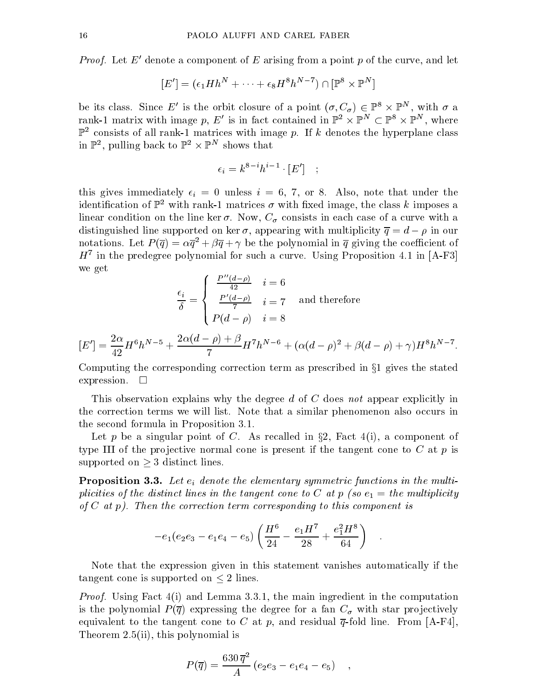*Proof.* Let  $E$  denote a component of  $E$  arising from a point  $p$  of the curve, and let

$$
[E'] = (\epsilon_1 H h^N + \dots + \epsilon_8 H^8 h^{N-7}) \cap [\mathbb{P}^8 \times \mathbb{P}^N]
$$

be its class. Since E is the orbit closure of a point  $(\sigma, C_{\sigma}) \in \mathbb{P}^* \times \mathbb{P}^*$ , with  $\sigma$  a rank-1 matrix with image  $p, E$  is in fact contained in  $\mathbb{P}^2 \times \mathbb{P}^2 \subset \mathbb{P}^2 \times \mathbb{P}^2$ , where  $\mathbb{P}^2$  consists of all rank-1 matrices with image p. If k denotes the hyperplane class in  $\mathbb{F}$ , pulling back to  $\mathbb{F}$ <sup>-</sup>  $\times$   $\mathbb{F}$  shows that

$$
\epsilon_i = k^{8-i}h^{i-1} \cdot [E'] \quad ; \quad
$$

this gives in this gives in the  $\alpha$  -form  $\alpha$  and  $\alpha$ . Also, note that under the  $\alpha$ identification of  $\mathbb{P}^2$  with rank-1 matrices  $\sigma$  with fixed image, the class k imposes a linear condition on the line ker . Now, C consists in each case of <sup>a</sup> curve with <sup>a</sup> distinguished line supported on ker  $\sigma$ , appearing with multiplicity  $\overline{q} = d - \rho$  in our notations. Let  $P(q) = \alpha q^2 + \beta q + \gamma$  be the polynomial in q giving the coefficient of  $H^+$  in the predegree polynomial for such a curve. Using Proposition 4.1 in [A-F3]  $\,$ we get

$$
\frac{\epsilon_i}{\delta} = \begin{cases}\n\frac{P''(d-\rho)}{42} & i = 6 \\
\frac{P'(d-\rho)}{7} & i = 7 \\
P(d-\rho) & i = 8\n\end{cases}
$$
 and therefore

$$
[E'] = \frac{2\alpha}{42} H^6 h^{N-5} + \frac{2\alpha(d-\rho) + \beta}{7} H^7 h^{N-6} + (\alpha(d-\rho)^2 + \beta(d-\rho) + \gamma) H^8 h^{N-7}.
$$

Computing the corresponding correction term as prescribed in  $\S1$  gives the stated expression.  $\Box$ 

This observation explains why the degree d of C does not appear explicitly in the correction terms we will list. Note that a similar phenomenon also occurs in the second formula in Proposition 3.1.

Let p be a singular point of C. As recalled in  $\S 2$ , Fact 4(i), a component of type III of the projective normal cone is present if the tangent cone to  $C$  at  $p$  is supported on a supported on  $\bullet$  distinct lines. The supported on  $\bullet$  distinct lines. The supported on  $\bullet$ 

 $P$ roposition 3.3. Let  $P$  and  $P$  are elementary symmetric functions in the multi $p$  is the distinct distinct lines in the tangent cone to  $C$  at  $p$  (so e1  $=$  the multiplicity)  $p$ of C at p). Then the correction term corresponding to this component is

$$
-e_1(e_2e_3 - e_1e_4 - e_5)\left(\frac{H^6}{24} - \frac{e_1H^7}{28} + \frac{e_1^2H^8}{64}\right) .
$$

Note that the expression given in this statement vanishes automatically if the tangent cone is supported on <sup>2</sup> lines.

 $\mathcal{L}$  roof. Using Fact 4(i) and Lemma 3.3.1, the main ingredient in the main in the computation is the polynomial P (q) expressing the degree for <sup>a</sup> fan C with star pro jectively equivalent to the tangent cone to C at p, and residual  $\bar{q}$ -fold line. From [A-F4], Theorem 2.5(ii), this polynomial is

$$
P(\overline{q}) = \frac{630 \,\overline{q}^2}{A} \left( e_2 e_3 - e_1 e_4 - e_5 \right) ,
$$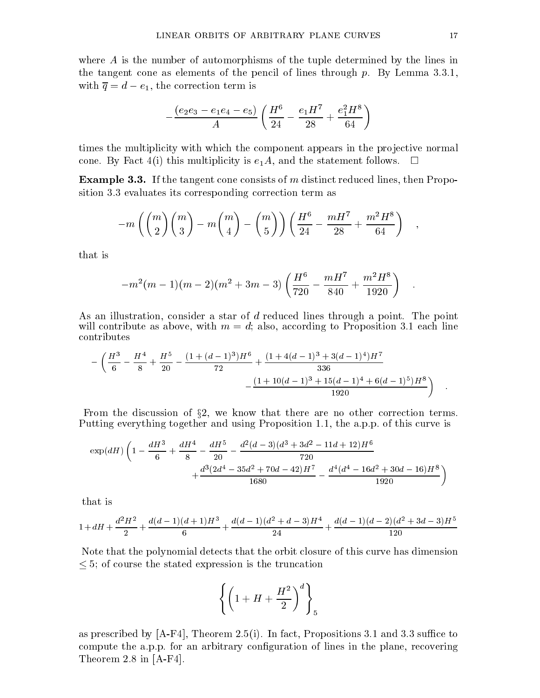where A is the number of automorphisms of the tuple determined by the lines in the tangent cone as elements of the pencil of lines through  $p$ . By Lemma 3.3.1, with  $\mathbf{q}$  , and all the correction term is corrected to correct the correction term is a corrected to correct the correct of  $\mathbf{q}$ 

$$
-\frac{(e_2e_3-e_1e_4-e_5)}{A}\left(\frac{H^6}{24}-\frac{e_1H^7}{28}+\frac{e_1^2H^8}{64}\right)
$$

times the multiplicity with which the component appears in the projective normal cone. By Fact 4(i) this multiplicity is  $e_1A$ , and the statement follows.  $\Box$ 

Example 3.3. If the tangent cone consists of m distinct reduced lines, then Proposition 3.3 evaluates its corresponding correction term as

$$
-m\left(\binom{m}{2}\binom{m}{3}-m\binom{m}{4}-\binom{m}{5}\right)\left(\frac{H^6}{24}-\frac{mH^7}{28}+\frac{m^2H^8}{64}\right) ,
$$

that is

$$
-m^{2}(m-1)(m-2)(m^{2}+3m-3)\left(\frac{H^{6}}{720}-\frac{mH^{7}}{840}+\frac{m^{2}H^{8}}{1920}\right) .
$$

As an illustration, consider a star of d reduced lines through a point. The point will contribute as above, with  $m = d$ ; also, according to Proposition 3.1 each line

$$
-\left(\frac{H^3}{6}-\frac{H^4}{8}+\frac{H^5}{20}-\frac{(1+(d-1)^3)H^6}{72}+\frac{(1+4(d-1)^3+3(d-1)^4)H^7}{336}-\frac{(1+10(d-1)^3+15(d-1)^4+6(d-1)^5)H^8}{1920}\right)
$$

From the discussion of x2, we know that there are no other correction terms. Putting everything together and using Proposition 1.1, the a.p.p. of this curve is

$$
\exp(dH)\left(1-\frac{dH^3}{6}+\frac{dH^4}{8}-\frac{dH^5}{20}-\frac{d^2(d-3)(d^3+3d^2-11d+12)H^6}{720}+\frac{d^3(2d^4-35d^2+70d-42)H^7}{1680}-\frac{d^4(d^4-16d^2+30d-16)H^8}{1920}\right)
$$

that is

$$
1+dH+\frac{d^2H^2}{2}+\frac{d(d-1)(d+1)H^3}{6}+\frac{d(d-1)(d^2+d-3)H^4}{24}+\frac{d(d-1)(d-2)(d^2+3d-3)H^5}{120}
$$

Note that the polynomial detects that the orbit closure of this curve has dimension  $\leq$  5; of course the stated expression is the truncation

$$
\left\{\left(1+H+\frac{H^2}{2}\right)^d\right\}_5
$$

as prescribed by  $[A-F4]$ , Theorem 2.5(i). In fact, Propositions 3.1 and 3.3 suffice to compute the a.p.p. for an arbitrary conguration of lines in the plane, recovering Theorem 2.8 in [A-F4].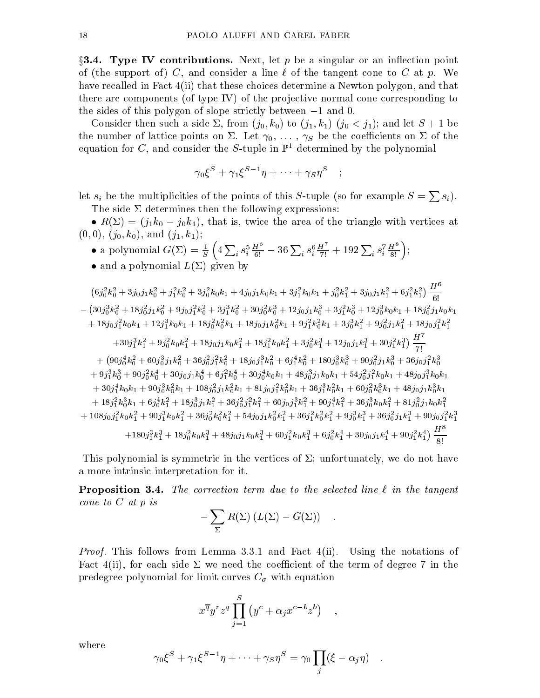$\S 3.4.$  Type IV contributions. Next, let p be a singular or an inflection point of (the support of) C, and consider a line  $\ell$  of the tangent cone to C at p. We have recalled in Fact 4(ii) that these choices determine a Newton polygon, and that there are components (of type IV) of the projective normal cone corresponding to the sides of this polygon of slope strictly between  $-1$  and 0.

Consider then such a side  $\Sigma$ , from  $(j_0, k_0)$  to  $(j_1, k_1)$   $(j_0 < j_1)$ ; and let  $S + 1$  be the number of lattice points on  $\Sigma$ . Let  $\gamma_0, \ldots, \gamma_S$  be the coefficients on  $\Sigma$  of the equation for C, and consider the S-tuple in  $\mathbb{P}^1$  determined by the polynomial

$$
\gamma_0 \xi^S + \gamma_1 \xi^{S-1} \eta + \cdots + \gamma_S \eta^S \quad ;
$$

let  $s_i$  be the multiplicities of the points of this S-tuple (so for example  $S = \sum s_i$ ). The side  $\Sigma$  determines then the following expressions:

•  $R(\Sigma) = (j_1k_0 - j_0k_1)$ , that is, twice the area of the triangle with vertices at  $(0, 0), (j_0, k_0), \text{ and } (j_1, k_1);$ 

- a polynomial  $G(\Sigma) = \frac{1}{S} \left( 4 \sum_i s_i^5 \frac{H^6}{6!} 36 \sum_i s_i^6 \right)$  $\frac{H^3}{6!} - 36 \sum_i s_i^6 \frac{H}{7!} + 192 \sum_i s_i$  $\frac{H}{7!} + 192 \sum_i s_i^7 \frac{H^3}{8!}$ ;  $\left(\frac{H^8}{8!}\right);$
- and a polynomial  $L(\Sigma)$  given by

$$
(6j_0^2k_0^2 + 3j_0j_1k_0^2 + j_1^2k_0^2 + 3j_0^2k_0k_1 + 4j_0j_1k_0k_1 + 3j_1^2k_0k_1 + j_0^2k_1^2 + 3j_0j_1k_1^2 + 6j_1^2k_1^2)
$$
  
\n
$$
- (30j_0^3k_0^2 + 18j_0^2j_1k_0^2 + 9j_0j_1^2k_0^2 + 3j_1^3k_0^2 + 30j_0^2k_0^3 + 12j_0j_1k_0^3 + 3j_1^2k_0^3 + 12j_0^3k_0k_1 + 18j_0^2j_1k_0k_1
$$
  
\n
$$
+ 18j_0j_1^2k_0k_1 + 12j_1^3k_0k_1 + 18j_0^2k_0^2k_1 + 18j_0j_1k_0^2k_1 + 9j_1^2k_0^2k_1 + 3j_0^3k_1^2 + 9j_0^2j_1k_1^2 + 18j_0j_1^2k_1^2
$$
  
\n
$$
+ 30j_1^3k_1^2 + 9j_0^2k_0k_1^2 + 18j_0j_1k_0k_1^2 + 18j_1^2k_0k_1^2 + 3j_0^2k_1^3 + 12j_0j_1k_1^3 + 30j_1^2k_1^3)
$$
  
\n
$$
+ (90j_0^4k_0^2 + 60j_0^3j_1k_0^2 + 36j_0^2j_1^2k_0^2 + 18j_0j_1^3k_0^2 + 6j_1^4k_0^2 + 180j_0^3k_0^3 + 90j_0^2j_1k_0^3 + 36j_0j_1^2k_0^3
$$
  
\n
$$
+ 9j_1^3k_0^3 + 90j_0^2k_0^4 + 30j_0j_1k_0^4 + 6j_1^2k_0^4 + 30j_0^4k_0k_1 + 48j_0^3j_
$$

This polynomial is symmetric in the vertices of  $\Sigma$ ; unfortunately, we do not have a more intrinsic interpretation for it.

**Proposition 3.4.** The correction term due to the selected line  $\ell$  in the tangent contract to C at a property of the contract of the contract of the contract of the contract of the contract of

$$
-\sum_{\Sigma} R(\Sigma) (L(\Sigma) - G(\Sigma)) .
$$

Proof. This follows from Lemma 3.3.1 and Fact 4(ii). Using the notations of Fact 4(ii), for each side  $\Sigma$  we need the coefficient of the term of degree 7 in the predegree polynomial for limit curves C with equation

$$
x^{\overline{q}}y^r z^q \prod_{j=1}^S (y^c + \alpha_j x^{c-b} z^b) ,
$$

where

$$
\gamma_0 \xi^S + \gamma_1 \xi^{S-1} \eta + \dots + \gamma_S \eta^S = \gamma_0 \prod_j (\xi - \alpha_j \eta) .
$$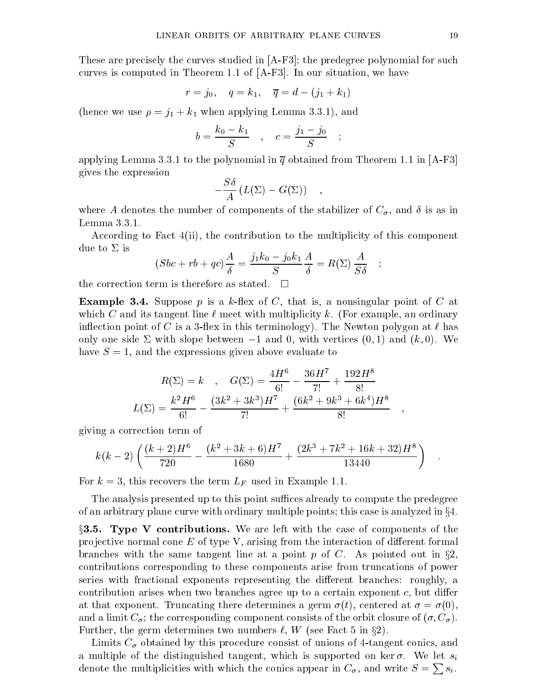These are precisely the curves studied in [A-F3]; the predegree polynomial for such curves is computed in Theorem 1.1 of [A-F3]. In our situation, we have

$$
r = j_0
$$
,  $q = k_1$ ,  $\overline{q} = d - (j_1 + k_1)$ 

(hence we use  $\rho = j_1 + k_1$  when applying Lemma 3.3.1), and

$$
b = \frac{k_0 - k_1}{S} , \quad c = \frac{j_1 - j_0}{S} ;
$$

applying Lemma 3.3.1 to the polynomial in  $\overline{q}$  obtained from Theorem 1.1 in [A-F3] gives the expression

$$
-\frac{S\delta}{A}\left(L(\Sigma)-G(\Sigma)\right) ,
$$

where A denotes the number of components of the stabilizer of C , and is as in Lemma 3.3.1.

According to Fact 4(ii), the contribution to the multiplicity of this component due to  $\Sigma$  is

$$
(Sbc + rb + qc)\frac{A}{\delta} = \frac{j_1k_0 - j_0k_1}{S}\frac{A}{\delta} = R(\Sigma)\frac{A}{S\delta} \quad ;
$$

the correction term is therefore as stated.  $\Box$ 

**Example 3.4.** Suppose p is a k-flex of C, that is, a nonsingular point of C at which C and its tangent line  $\ell$  meet with multiplicity k. (For example, an ordinary inflection point of C is a 3-flex in this terminology). The Newton polygon at  $\ell$  has only one side  $\Sigma$  with slope between  $-1$  and 0, with vertices  $(0, 1)$  and  $(k, 0)$ . We have  $S = 1$ , and the expressions given above evaluate to

$$
R(\Sigma) = k \quad , \quad G(\Sigma) = \frac{4H^6}{6!} - \frac{36H^7}{7!} + \frac{192H^8}{8!}
$$

$$
L(\Sigma) = \frac{k^2H^6}{6!} - \frac{(3k^2 + 3k^3)H^7}{7!} + \frac{(6k^2 + 9k^3 + 6k^4)H^8}{8!} \quad ,
$$

giving a correction term of

$$
k(k-2)\left(\frac{(k+2)H^6}{720} - \frac{(k^2+3k+6)H^7}{1680} + \frac{(2k^3+7k^2+16k+32)H^8}{13440}\right) .
$$

For k = 3, this recovers the term LF used in Example 1.1.

The analysis presented up to this point suffices already to compute the predegree of an arbitrary plane curve with ordinary multiple points; this case is analyzed in  $\S 4$ .

 $\S 3.5.$  Type V contributions. We are left with the case of components of the projective normal cone  $E$  of type V, arising from the interaction of different formal branches with the same tangent line at a point p of C. As pointed out in  $\S 2$ . contributions corresponding to these components arise from truncations of power series with fractional exponents representing the different branches: roughly, a contribution arises when two branches agree up to a certain exponent  $c$ , but differ at that exponent. Truncating there determines a germ  $\sigma(t)$ , centered at  $\sigma = \sigma(0)$ , and a limit  $C_{\sigma}$ ; the corresponding component consists of the orbit closure of  $(\sigma, C_{\sigma})$ . Further, the germ determines two numbers  $\ell$ , W (see Fact 5 in §2).

 $\mathcal{L}$  and a obtained by this procedure consistent consistent consistent consistent consistent continuous continuous continuous continuous continuous continuous continuous continuous continuous continuous continuous con a multiple of the distinguished tangent, which is supported on ker  $\sigma$ . We let  $s_i$ denote the multiplicities with which the conics appear in  $C_{\sigma}$ , and write  $S = \sum s_i$ .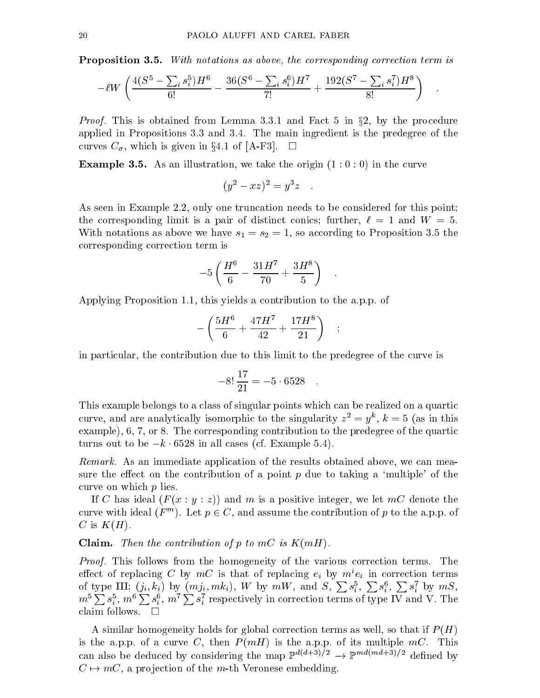**Proposition 3.5.** With notations as above, the corresponding correction term is

$$
-\ell W \left( \frac{4(S^5 - \sum_i s_i^5)H^6}{6!} - \frac{36(S^6 - \sum_i s_i^6)H^7}{7!} + \frac{192(S^7 - \sum_i s_i^7)H^8}{8!} \right) \quad .
$$

Proof. This is obtained from Lemma 3.3.1 and Fact 5 in x2, by the procedure applied in Propositions 3.3 and 3.4.The main ingredient is the predegree of the  $-c$  , which is given in a set  $c$  and  $c$  and  $c$   $d$  and  $d$ 

**Example 3.5.** As an illustration, we take the origin  $(1:0:0)$  in the curve

$$
(y^2 - xz)^2 = y^3z
$$

As seen in Example 2.2, only one truncation needs to be considered for this point; the corresponding limit is a pair of distinct conics; further,  $\ell = 1$  and  $W = 5$ . With notations as above we have  $s_1 = s_2 = 1$ , so according to Proposition 3.5 the corresponding correction term is

$$
-5\left(\frac{H^6}{6}-\frac{31H^7}{70}+\frac{3H^8}{5}\right) \quad .
$$

Applying Proposition 1.1, this yields a contribution to the a.p.p. of

$$
-\left(\frac{5H^6}{6}+\frac{47H^7}{42}+\frac{17H^8}{21}\right)~~;
$$

in particular, the contribution due to this limit to the predegree of the curve is

$$
-8!\,\frac{17}{21} = -5.6528\quad.
$$

This example belongs to a class of singular points which can be realized on a quartic curve, and are analytically isomorphic to the singularity  $z^{\perp} = y^{\perp}$ ,  $\kappa =$  5 (as in this example), 6, 7, or 8. The corresponding contribution to the predegree of the quartic turns out to be  $-k \cdot 6528$  in all cases (cf. Example 5.4).

Remarks. As an improvement of the results of the results of the results of the results obtained above, we can sure the effect on the contribution of a point  $p$  due to taking a 'multiple' of the curve on which p lies.

If C has ideal  $(F(x : y : z))$  and m is a positive integer, we let mC denote the curve with ideal (F  $^m$ ). Let  $p \in C$ , and assume the contribution of  $p$  to the a.p.p. of C is  $K(H)$ .

**Claim.** Then the contribution of p to  $mC$  is  $K(mH)$ .

Proof. This follows from the homogeneity of the various correction terms. The effect of replacing C by  $m$ C is that of replacing  $e_i$  by  $m\cdotp e_i$  in correction terms of type III;  $(j_i, k_i)$  by  $(mj_i, mk_i)$ ,  $W$  by  $mW$ , and  $S$ ,  $\sum s_i^5$ ,  $\sum s_i^6$ ,  $\sum s_i^7$  by  $mS$ ,  $m^5 \sum s_i^5$ ,  $m^6 \sum s_i^6$ ,  $m^7 \sum s_i^7$  respectively in correction terms of type IV and V. The claim follows.  $\square$ 

A similar homogeneity holds for global correction terms as well, so that if  $P(H)$ is the a.p.p. of a curve C, then  $P(mH)$  is the a.p.p. of its multiple  $mC$ . This can also be deduced by considering the map  $\mathbb{P}^{n_1+2n_2} \to \mathbb{P}^{n_2+2n_3}=2$  defined by C 7! mC, <sup>a</sup> pro jection of the m-th Veronese embedding.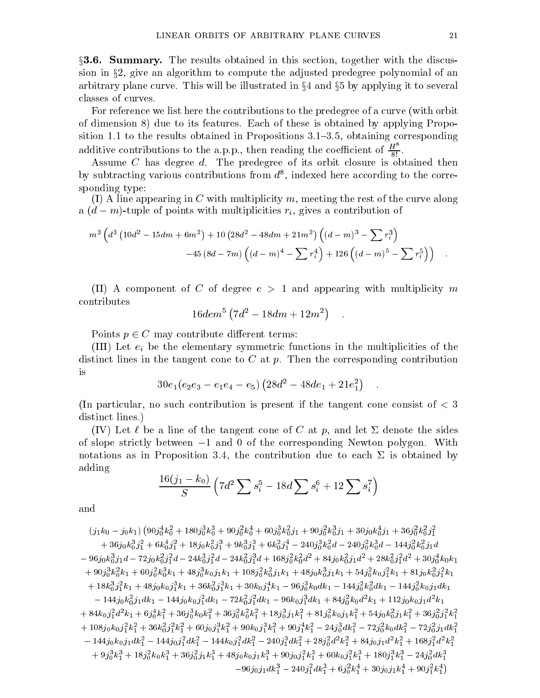$\S 3.6.$  Summary. The results obtained in this section, together with the discussion in x2, give an algorithm to compute the adjusted predegree polynomial of an arbitrary plane curve. This will be illustrated in  $\S 4$  and  $\S 5$  by applying it to several classes of curves.

For reference we list here the contributions to the predegree of a curve (with orbit of dimension 8) due to its features. Each of these is obtained by applying Proposition 1.1 to the results obtained in Propositions  $3.1{\text -}3.5$ , obtaining corresponding additive contributions to the a.p.p., then reading the coefficient of  $\frac{H^2}{8!}$ .

 $\mathcal{A}$ s degree d. The predegree of its orbit closure is obtained then its orbit closure is obtained then is obtained then if  $\mathcal{A}$ by subtracting various contributions from  $a^*$ , indexed here according to the corresponding type:

(I) A line appearing in C with multiplicity m, meeting the rest of the curve along a (d m)-tuple of points with multiplicities righted and contribution of points and contribution of the contribution of

$$
m^3 \left(d^3 \left(10d^2-15dm+6m^2\right)+10 \left(28d^2-48dm+21m^2\right) \left((d-m)^3-\sum r_i^3\right) \right. \\ \left. -45 \left(8d-7m\right) \left((d-m)^4-\sum r_i^4\right)+126 \left((d-m)^5-\sum r_i^5\right)\right) \quad .
$$

(II) A component of C of degree  $e > 1$  and appearing with multiplicity m contributes

$$
16 dem^5 \left(7d^2 - 18dm + 12m^2\right) \quad .
$$

Points p 2 <sup>C</sup> may contribute dierent terms:

 $\blacksquare$ distinct lines in the tangent cone to  $C$  at  $p$ . Then the corresponding contribution is

$$
30e_1(e_2e_3 - e_1e_4 - e_5) (28d^2 - 48de_1 + 21e_1^2) \quad .
$$

(In particular, no such contribution is present if the tangent cone consist of  $\lt 3$ distinct lines.)

(IV) Let  $\ell$  be a line of the tangent cone of C at p, and let  $\Sigma$  denote the sides of slope strictly between  $-1$  and 0 of the corresponding Newton polygon. With notations as in Proposition 3.4, the contribution due to each  $\Sigma$  is obtained by adding

$$
\frac{16(j_1-k_0)}{S} \left(7d^2\sum s_i^5 - 18d\sum s_i^6 + 12\sum s_i^7\right)
$$

and

 $(j_1k_0-j_0k_1)\left(90j_0^4k_0^2+180j_0^3k_0^3+90j_0^2k_0^4+60j_0^3k_0^2j_1+90j_0^2k_0^3j_1+30j_0k_0^4j_1+36j_0^2k_0^2j_1^2\right.$  $+ 30j_0\kappa_{\bar{0}}^5j_1^-\n 10\kappa_{\bar{0}}^5j_1^-\n 10\kappa_{\bar{0}}^5j_1^-\n 10\kappa_{\bar{0}}^5j_1^-\n 240j_0^-\kappa_{\bar{0}}^3a - 240j_0^-\kappa_{\bar{0}}^5a - 144j_0^-\kappa_{\bar{0}}^5j_1a$  $\frac{1}{2} \frac{96}{6} \frac{1}{91}a - \frac{1}{20} \frac{k}{6} \frac{1}{91}a - \frac{24k}{6} \frac{1}{16}a - \frac{24k}{6} \frac{1}{16}a^2 + \frac{108}{6} \frac{1}{6}a^2 + \frac{84}{9} \frac{1}{6} \frac{1}{6}a^3 + \frac{28k}{6} \frac{1}{16}a^2 + \frac{30}{6} \frac{1}{6} \frac{1}{6}a^3$  $+~90j_0^{\,} \kappa_0^{\,} \kappa_1+ 60j_0^{\,} \kappa_0^{\,} \kappa_1+ 48j_0^{\,} \kappa_0j_1 \kappa_1+1$ U8 $j_0^{\,} \kappa_0^{\,} j_1 \kappa_1+ 48j_0 \kappa_0^{\,} j_1 \kappa_1+ 34j_0^{\,} \kappa_0j_1^{\,} \kappa_1+ 81j_0 \kappa_0^{\,} j_1^{\,} \kappa_1$  $+ \ 18 \kappa_0^2 \jmath_1^2 \kappa_1 + 48 \jmath_0 \kappa_0 \jmath_1^2 \kappa_1 + 30 \kappa_0^2 \jmath_1^2 \kappa_1 + 30 \kappa_0 \jmath_1 \kappa_1 - 90 \jmath_0^2 \kappa_0 a \kappa_1 - 144 \jmath_0^2 \kappa_0^2 a \kappa_1 - 144 \jmath_0^2 \kappa_0 \jmath_1 a \kappa_1$  $1 - 144$ j $0$ K $0/1$ dK $1 - 144$ j $0$ K $0$ j $1/1$ dK $1 - 12$ K $0/1$ j $a$ K $1 - 90$ K $0$ j $1/1$ dK $1 + 84$ j $0/6$ u $a$ K $1 + 112$ j $0$ K $0/1$ d $1$ K $1$  $+ 84\kappa_0j_1a \kappa_1 + 6j_0\kappa_1 + 36j_0\kappa_0\kappa_1 + 36j_0\kappa_0\kappa_1 + 18j_0j_1\kappa_1 + 81j_0\kappa_0j_1\kappa_1 + 34j_0\kappa_0j_1\kappa_1 + 36j_0j_1\kappa_1$  $+ 108j_0k_0j_1k_1 + 30k_0^2j_1k_1 + 00j_0j_1k_1^2 + 90k_0j_1k_1^2 + 90j_1k_1^2 - 24j_0^2k_1^2 - 72j_0^2k_0ak_1^2 - 72j_0^2j_1ak_1^2$ 1980 - Personal Property and Personal Property and Personal Property and Personal Property and Personal Property  $\tilde{1} = 144j_0k_0j_1a\kappa_1^2 - 144j_0j_1^2a\kappa_1^2 - 144k_0j_1^2a\kappa_1^2 - 240j_1^2a\kappa_1^2 + 28j_0^2a^2\kappa_1^2 + 84j_0j_1a^2\kappa_1^2 + 168j_1^2a^2\kappa_1^2$  $+9j_0^2\kappa_1^2+18j_0^2\kappa_0\kappa_1^2+30j_0^2j_1\kappa_1^2+48j_0\kappa_0j_1\kappa_1^2+90j_0j_1^2\kappa_1^2+00\kappa_0j_1^2\kappa_1^2+180j_1^2\kappa_1^2-24j_0^2a\kappa_1^2$  $-96j_0j_1dk_1^3-240j_1^2dk_1^3+6j_0^2k_1^4+30j_0j_1k_1^4+90j_1^2k_1^4\big)$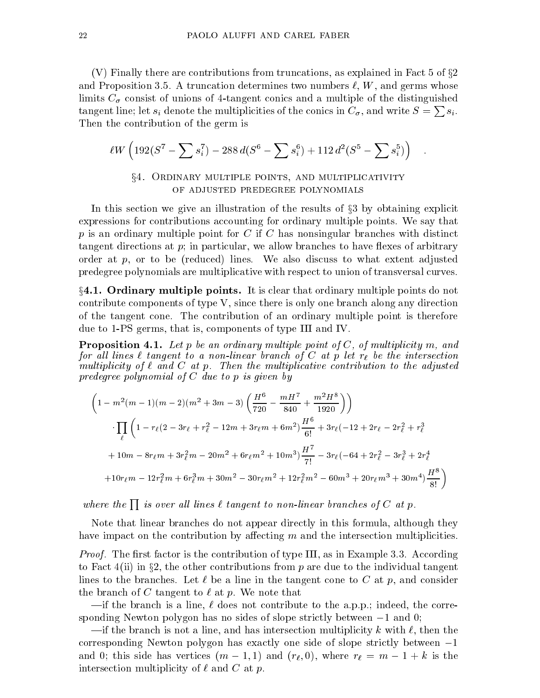(V) Finally there are contributions from truncations, as explained in Fact  $5$  of  $\S 2$ and Proposition 3.5. A truncation determines two numbers  $\ell, W$ , and germs whose limits C consistent consistent continuous continuous and a multiple of the distinguished continuous continuous tangent line; let  $s_i$  denote the multiplicities of the conics in  $C_{\sigma}$ , and write  $S = \sum s_i$ . Then the contribution of the germ is

$$
\ell W \left( 192 (S^7 - \sum s_i^7) - 288 d (S^6 - \sum s_i^6) + 112 d^2 (S^5 - \sum s_i^5) \right) .
$$

# $\S4.$  Ordinary multiple points, and multiplicativity of adjusted predegree polynomials

In this section we give an illustration of the results of  $\S 3$  by obtaining explicit expressions for contributions accounting for ordinary multiple points. We say that  $p$  is an ordinary multiple point for C if C has nonsingular branches with distinct tangent directions at  $p$ ; in particular, we allow branches to have flexes of arbitrary order at  $p$ , or to be (reduced) lines. We also discuss to what extent adjusted predegree polynomials are multiplicative with respect to union of transversal curves.

 $\S 4.1.$  Ordinary multiple points. It is clear that ordinary multiple points do not contribute components of type V, since there is only one branch along any direction of the tangent cone. The contribution of an ordinary multiple point is therefore due to 1-PS germs, that is, components of type III and IV.

**Proposition 4.1.** Let p be an ordinary multiple point of C, of multiplicity m, and for an interval tangent to a non-linear branch of  $C$  at  $p$  let  $r_\ell$  be the intersection multiplicity of` and C at p. Then the multiplicative contribution to the adjusted predegree polynomial of C due to p is given by

$$
\left(1 - m^{2}(m - 1)(m - 2)(m^{2} + 3m - 3)\left(\frac{H^{6}}{720} - \frac{mH^{7}}{840} + \frac{m^{2}H^{8}}{1920}\right)\right)
$$
\n
$$
\cdot \prod_{\ell} \left(1 - r_{\ell}(2 - 3r_{\ell} + r_{\ell}^{2} - 12m + 3r_{\ell}m + 6m^{2})\frac{H^{6}}{6!} + 3r_{\ell}(-12 + 2r_{\ell} - 2r_{\ell}^{2} + r_{\ell}^{3} + 10m - 8r_{\ell}m + 3r_{\ell}^{2}m - 20m^{2} + 6r_{\ell}m^{2} + 10m^{3}\right)\frac{H^{7}}{7!} - 3r_{\ell}(-64 + 2r_{\ell}^{2} - 3r_{\ell}^{3} + 2r_{\ell}^{4} + 10r_{\ell}m - 12r_{\ell}^{2}m + 6r_{\ell}^{3}m + 30m^{2} - 30r_{\ell}m^{2} + 12r_{\ell}^{2}m^{2} - 60m^{3} + 20r_{\ell}m^{3} + 30m^{4}\right)\frac{H^{8}}{8!}
$$

where the  $\prod$  is over all lines  $\ell$  tangent to non-linear branches of C at p.

Note that linear branches do not appear directly in this formula, although they have impact on the contribution by affecting  $m$  and the intersection multiplicities.

 $\mathcal{L}$  root. The model is the contribution of type II, as in Example 3.3. According to Fact  $4(ii)$  in §2, the other contributions from p are due to the individual tangent lines to the branches. Let  $\ell$  be a line in the tangent cone to C at p, and consider the branch of C tangent to  $\ell$  at p. We note that

 $\text{int}$  the branch is a line,  $\ell$  does not contribute to the a.p.p.; indeed, the corresponding Newton polygon has no sides of slope strictly between  $-1$  and 0;

 $\text{ }$ if the branch is not a line, and has intersection multiplicity k with  $\ell$ , then the corresponding Newton polygon has exactly one side of slope strictly between  $-1$ and 0; this side has vertices (m 1; 1) and (r; 0), where results  $\mu$  is the m interest of m is the rate intersection multiplicity of  $\ell$  and  $C$  at p.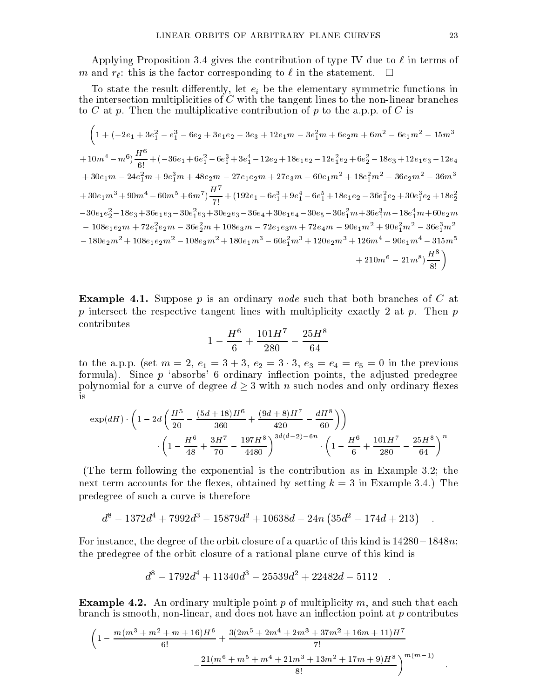Applying Proposition 3.4 gives the contribution of type IV due to  $\ell$  in terms of m and ratio is the factor corresponding to the factor corresponding to  $\sim$ 

To state the result dieselementary, let  $\mathcal{L}_k$  is the elementary symmetric functions in  $\mathcal{L}_k$ the intersection multiplicities of  $C$  with the tangent lines to the non-linear branches to C at p. Then the multiplicative contribution of p to the a.p.p. of C is

$$
\left(1+(-2e_1+3e_1^2-e_1^3-6e_2+3e_1e_2-3e_3+12e_1m-3e_1^2m+6e_2m+6m^2-6e_1m^2-15m^3\right.\newline\left.+10m^4-m^6\right)\frac{H^6}{6!}+(-36e_1+6e_1^2-6e_1^3+3e_1^4-12e_2+18e_1e_2-12e_1^2e_2+6e_2^2-18e_3+12e_1e_3-12e_4\newline\left.+30e_1m-24e_1^2m+9e_1^3m+48e_2m-27e_1e_2m+27e_3m-60e_1m^2+18e_1^2m^2-36e_2m^2-36m^3\newline\left.+30e_1m^3+90m^4-60m^5+6m^7\right)\frac{H^7}{7!}+(192e_1-6e_1^3+9e_1^4-6e_1^5+18e_1e_2-36e_1^2e_2+30e_1^3e_2+18e_2^2\newline\left.-30e_1e_2^2-18e_3+36e_1e_3-30e_1^2e_3+30e_2e_3-36e_4+30e_1e_4-30e_5-30e_1^2m+36e_1^3m-18e_1^4m+60e_2m\newline\left.-108e_1e_2m+72e_1^2e_2m-36e_2^2m+108e_3m-72e_1e_3m+72e_4m-90e_1m^2+90e_1^2m^2-36e_1^3m^2\newline\left.-180e_2m^2+108e_1e_2m^2-108e_3m^2+180e_1m^3-60e_1^2m^3+120e_2m^3+126m^4-90e_1m^4-315m^5\newline\left.+210m^6-21m^8\right)\frac{H^8}{8!}\right)
$$

**Example 4.1.** Suppose p is an ordinary node such that both branches of C at p intersect the respective tangent lines with multiplicity exactly 2 at p. Then p contributes

$$
1-\frac{H^6}{6}+\frac{101H^7}{280}-\frac{25H^8}{64}
$$

to the a.p.p. (set  $m = 2, e_1 = 3 + 3, e_2 = 3 \cdot 3, e_3 = e_4 = e_5 = 0$  in the previous formula). Since  $p$  'absorbs' 6 ordinary inflection points, the adjusted predegree polynomial for a curve of degree  $d \geq 3$  with n such nodes and only ordinary flexes is

$$
\exp(dH) \cdot \left(1 - 2d\left(\frac{H^5}{20} - \frac{(5d+18)H^6}{360} + \frac{(9d+8)H^7}{420} - \frac{dH^8}{60}\right)\right)
$$

$$
\left(1 - \frac{H^6}{48} + \frac{3H^7}{70} - \frac{197H^8}{4480}\right)^{3d(d-2)-6n} \cdot \left(1 - \frac{H^6}{6} + \frac{101H^7}{280} - \frac{25H^8}{64}\right)^n
$$

(The term following the exponential is the contribution as in Example 3.2; the next term accounts for the flexes, obtained by setting  $k = 3$  in Example 3.4.) The predegree of such a curve is therefore

$$
d^8 - 1372d^4 + 7992d^3 - 15879d^2 + 10638d - 24n(35d^2 - 174d + 213) .
$$

For instance, the degree of the orbit closure of a quartic of this kind is  $14280-1848n$ ; the predegree of the orbit closure of a rational plane curve of this kind is

$$
d^8 - 1792d^4 + 11340d^3 - 25539d^2 + 22482d - 5112
$$

**Example 4.2.** An ordinary multiple point p of multiplicity m, and such that each branch is smooth, non-linear, and does not have an inflection point at  $p$  contributes

$$
\left(1-\frac{m(m^3+m^2+m+16)H^6}{6!}+\frac{3(2m^5+2m^4+2m^3+37m^2+16m+11)H^7}{7!}\right.\newline-\left.\frac{21(m^6+m^5+m^4+21m^3+13m^2+17m+9)H^8}{8!}\right)^{m(m-1)}
$$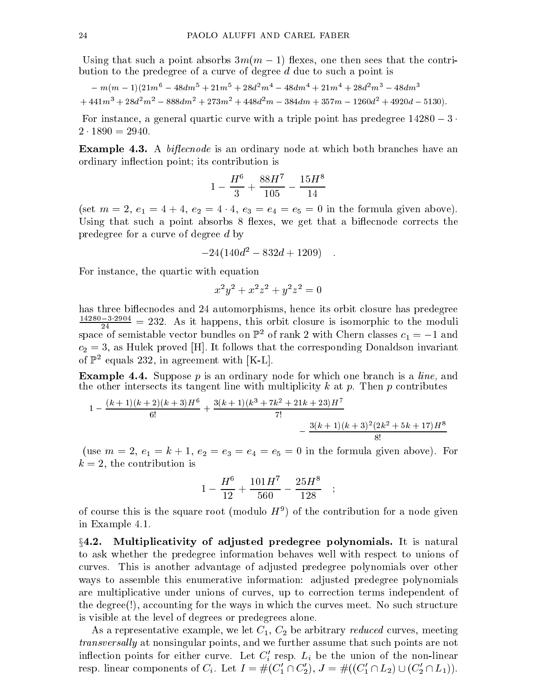$U$ sing that such a point absorbs 3m(m  $1$ ) and the contribution  $\mathcal{U}$  are contribution to the predegree of a curve of degree  $d$  due to such a point is

$$
-m(m-1)(21m^6-48dm^5+21m^5+28d^2m^4-48dm^4+21m^4+28d^2m^3-48dm^3\\ +441m^3+28d^2m^2-888dm^2+273m^2+448d^2m-384dm+357m-1260d^2+4920d-5130).
$$

For instance, a general quartic curve with a triple point has predegree  $14280 - 3$ .

**Example 4.3.** A *bifiecnode* is an ordinary node at which both branches have an ordinary in
ection point; its contribution is

$$
1-\frac{H^6}{3}+\frac{88H^7}{105}-\frac{15H^8}{14}
$$

(set  $m = 2, e_1 = 4 + 4, e_2 = 4 \cdot 4, e_3 = e_4 = e_5 = 0$  in the formula given above). Using that such a point absorbs 8 flexes, we get that a biffecnode corrects the predegree for a curve of degree d by

$$
-24(140d^2 - 832d + 1209) \quad .
$$

For instance, the quartic with equation

$$
x^2y^2 + x^2z^2 + y^2z^2 = 0
$$

has three biffecnodes and 24 automorphisms, hence its orbit closure has predegree  $\frac{1}{24}$  = 232. As it happens, this orbit closure is isomorphic to the moduli space of semistable vector bundles on  $\mathbb{P}^2$  of rank 2 with Chern classes  $c_1 = -1$  and  $c_2 = 3$ , as Hulek proved [H]. It follows that the corresponding Donaldson invariant of  $\mathbb{P}^2$  equals 232, in agreement with [K-L].

**Example 4.4.** Suppose p is an ordinary node for which one branch is a *line*, and the other intersects its tangent line with multiplicity  $k$  at  $p$ . Then  $p$  contributes

$$
1 - \frac{(k+1)(k+2)(k+3)H^6}{6!} + \frac{3(k+1)(k^3 + 7k^2 + 21k + 23)H^7}{7!} - \frac{3(k+1)(k+3)^2(2k^2 + 5k + 17)H^8}{8!}
$$

(use  $m = 2, e_1 = k + 1, e_2 = e_3 = e_4 = e_5 = 0$  in the formula given above). For  $k = 2$ , the contribution is

$$
1 - \frac{H^6}{12} + \frac{101H^7}{560} - \frac{25H^8}{128} \quad ;
$$

of course this is the square root (modulo  $H^+$ ) of the contribution for a node given in Example 4.1.

 $\S 4.2.$  Multiplicativity of adjusted predegree polynomials. It is natural to ask whether the predegree information behaves well with respect to unions of curves. This is another advantage of adjusted predegree polynomials over other ways to assemble this enumerative information: adjusted predegree polynomials are multiplicative under unions of curves, up to correction terms independent of the degree(!), accounting for the ways in which the curves meet. No such structure is visible at the level of degrees or predegrees alone.

As a representative example, we let  $C_1, C_2$  be arbitrary *reduced* curves, meeting transversal ly at nonsingular points, and we further assume that such points are not inhection points for either curve. Let  $C_i$  resp.  $L_i$  be the union of the non-linear resp. linear components of  $C_i$ . Let  $I = \#(C_1 \sqcup C_2), \, J = \#((C_1 \sqcup L_2) \cup (C_2 \sqcup L_1)).$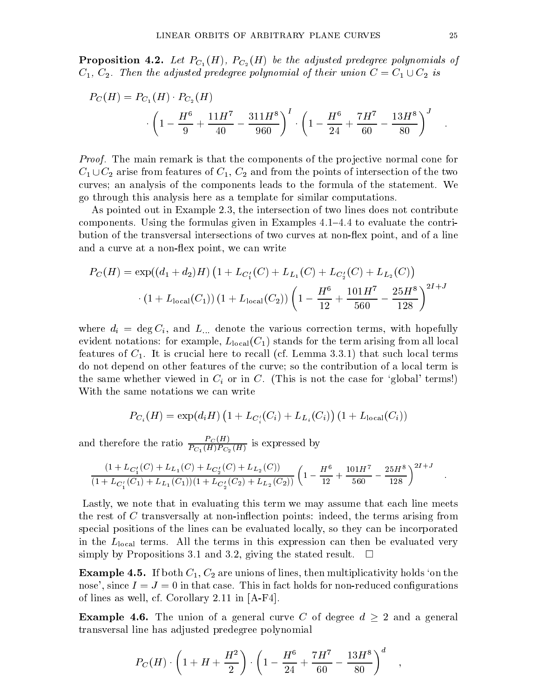**Proposition 4.2.** Let  $P_{C_1}(H)$ ,  $P_{C_2}(H)$  be the adjusted predegree polynomials of  $C_1, C_2$ . Then the adjusted predegree polynomial of their union  $C = C_1 \cup C_2$  is

$$
P_C(H) = P_{C_1}(H) \cdot P_{C_2}(H)
$$

$$
\cdot \left(1 - \frac{H^6}{9} + \frac{11H^7}{40} - \frac{311H^8}{960}\right)^I \cdot \left(1 - \frac{H^6}{24} + \frac{7H^7}{60} - \frac{13H^8}{80}\right)^J
$$

Proof. The main remark isthat the components of the pro jective normal cone for  $C_1 \cup C_2$  arise from features of  $C_1, C_2$  and from the points of intersection of the two curves; an analysis of the components leads to the formula of the statement. We go through this analysis here as a template for similar computations.

As pointed out in Example 2.3, the intersection of two lines does not contribute components. Using the formulas given in Examples  $4.1{-}4.4$  to evaluate the contribution of the transversal intersections of two curves at non-flex point, and of a line and a curve at a non-flex point, we can write

$$
P_C(H) = \exp((d_1 + d_2)H) \left(1 + L_{C'_1}(C) + L_{L_1}(C) + L_{C'_2}(C) + L_{L_2}(C)\right)
$$

$$
\cdot \left(1 + L_{\text{local}}(C_1)\right) \left(1 + L_{\text{local}}(C_2)\right) \left(1 - \frac{H^6}{12} + \frac{101H^7}{560} - \frac{25H^8}{128}\right)^{2I+J}
$$

where different and L:: denote the various correction terms, with hopefully correction terms, with hopefully  $\mathcal{U}$ evident notations: for example,  $L_{\text{local}}(C_1)$  stands for the term arising from all local features of  $C_1$ . It is crucial here to recall (cf. Lemma 3.3.1) that such local terms do not depend on other features of the curve; so the contribution of a local term is the same whether viewed in  $C_i$  or in C. (This is not the case for 'global' terms!) With the same notations we can write

$$
P_{C_i}(H) = \exp(d_i H) (1 + L_{C_i'}(C_i) + L_{L_i}(C_i)) (1 + L_{\text{local}}(C_i))
$$

and therefore the ratio  $\frac{1-\mathcal{O}(11)}{P_{C_1}(H)P_{C_2}(H)}$  is expressed by

$$
\frac{(1+L_{C'_1}(C)+L_{L_1}(C)+L_{C'_2}(C)+L_{L_2}(C))}{(1+L_{C'_1}(C_1)+L_{L_1}(C_1))(1+L_{C'_2}(C_2)+L_{L_2}(C_2))}\left(1-\frac{H^6}{12}+\frac{101H^7}{560}-\frac{25H^8}{128}\right)^{2I+J}.
$$

Lastly, we note that in evaluating this term we may assume that each line meets the rest of  $C$  transversally at non-inflection points: indeed, the terms arising from special positions of the lines can be evaluated locally, so they can be incorporated in the  $L_{\text{local}}$  terms. All the terms in this expression can then be evaluated very simply by Propositions 3.1 and 3.2, giving the stated result.  $\Box$ 

**Example 4.5.** If both  $C_1$ ,  $C_2$  are unions of lines, then multiplicativity holds 'on the nose', since  $I = J = 0$  in that case. This in fact holds for non-reduced configurations of lines as well, cf. Corollary 2.11 in [A-F4].

Example 4.6. The union of a general curve C of degree d <sup>2</sup> and <sup>a</sup> general transversal line has adjusted predegree polynomial

$$
P_C(H) \cdot \left(1 + H + \frac{H^2}{2}\right) \cdot \left(1 - \frac{H^6}{24} + \frac{7H^7}{60} - \frac{13H^8}{80}\right)^d \quad ,
$$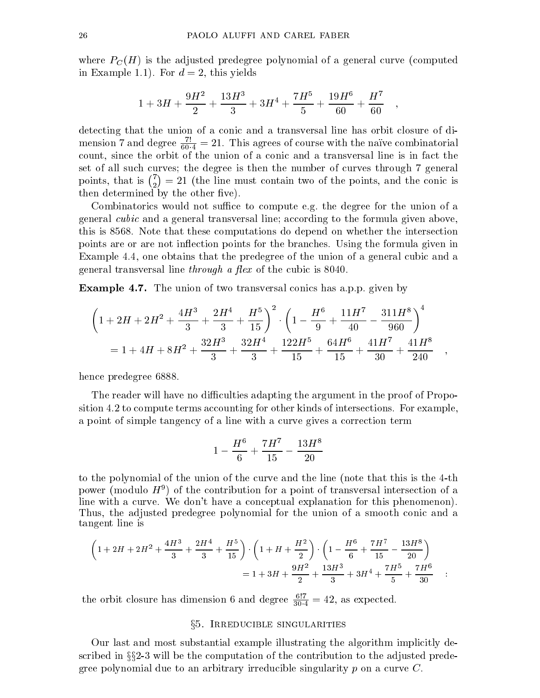where PC (H) is the adjusted predegree polynomial of <sup>a</sup> general curve (computed in Example 1.1). For  $d = 2$ , this yields

$$
1+3H+\frac{9H^2}{2}+\frac{13H^3}{3}+3H^4+\frac{7H^5}{5}+\frac{19H^6}{60}+\frac{H^7}{60}\quad ,
$$

detecting that the union of a conic and a transversal line has orbit closure of dimension 7 and degree  $\frac{20.4}{60.4}$  = 21. This agrees of course with the narve combinatorial count, since the orbit of the union of a conic and a transversal line is in fact the set of all such curves; the degree is then the number of curves through 7 general points, that is  $\binom{7}{2} = 21$  (the line must contain two of the points, and the conic is then determined by the other five).

Combinatorics would not suffice to compute e.g. the degree for the union of a general cubic and a general transversal line; according to the formula given above, this is 8568. Note that these computations do depend on whether the intersection points are or are not inflection points for the branches. Using the formula given in Example 4.4, one obtains that the predegree of the union of a general cubic and a general transversal line *through a flex* of the cubic is  $8040$ .

Example 4.7. The union of two transversal conics has a.p.p. given by

$$
\left(1+2H+2H^2+\frac{4H^3}{3}+\frac{2H^4}{3}+\frac{H^5}{15}\right)^2 \cdot \left(1-\frac{H^6}{9}+\frac{11H^7}{40}-\frac{311H^8}{960}\right)^4
$$

$$
=1+4H+8H^2+\frac{32H^3}{3}+\frac{32H^4}{3}+\frac{122H^5}{15}+\frac{64H^6}{15}+\frac{41H^7}{30}+\frac{41H^8}{240} \quad ,
$$

hence predegree 6888.

The reader will have no difficulties adapting the argument in the proof of Proposition 4.2 to compute terms accounting for other kinds of intersections. For example, a point of simple tangency of a line with a curve gives a correction term

$$
1-\frac{H^6}{6}+\frac{7H^7}{15}-\frac{13H^8}{20}
$$

to the polynomial of the union of the curve and the line (note that this is the 4-th power (modulo  $H^+$ ) of the contribution for a point of transversal intersection of a line with a curve. We don't have a conceptual explanation for this phenomenon). Thus, the adjusted predegree polynomial for the union of a smooth conic and a tangent line is

$$
\left(1+2H+2H^2+\frac{4H^3}{3}+\frac{2H^4}{3}+\frac{H^5}{15}\right)\cdot\left(1+H+\frac{H^2}{2}\right)\cdot\left(1-\frac{H^6}{6}+\frac{7H^7}{15}-\frac{13H^8}{20}\right)
$$

$$
=1+3H+\frac{9H^2}{2}+\frac{13H^3}{3}+3H^4+\frac{7H^5}{5}+\frac{7H^6}{30} \quad :
$$

the orbit closure has dimension 6 and degree  $\frac{30.4}{30.4} = 42$ , as expected.

### §5. IRREDUCIBLE SINGULARITIES

Our last and most substantial example illustrating the algorithm implicitly described in the strip be the computation of the contribution of the computation to the adjusted prediction pred gree polynomial due to an arbitrary irreducible singularity  $p$  on a curve  $C$ .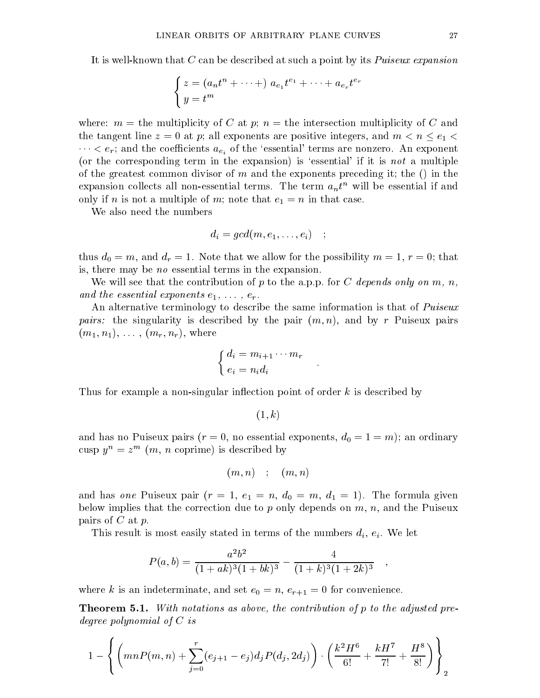It is well-known that C can be described at such a point by its Puiseux expansion

$$
\begin{cases}\nz = (a_n t^n + \dots + a_{e_1} t^{e_1} + \dots + a_{e_r} t^{e_r} \\
y = t^m\n\end{cases}
$$

where:  $m =$  the multiplicity of C at p;  $n =$  the intersection multiplicity of C and the tangent line  $z = 0$  at p; all exponents are positive integers, and  $m < n \leq e_1$  $\cdots < e_r;$  and the coefficients  $a_{e_i}$  of the 'essential' terms are nonzero. An exponent (or the corresponding term in the expansion) is 'essential' if it is *not* a multiple of the greatest common divisor of m and the exponents preceding it; the  $()$  in the expansion collects all non-essential terms. The term  $a_n t^n$  will be essential if and only if n is not a multiple of m; note that  $e_1 = n$  in that case.

We also need the numbers

$$
d_i=gcd(m,e_1,\ldots,e_i)\quad;\quad
$$

thus  $d_0 = m$ , and  $d_r = 1$ . Note that we allow for the possibility  $m = 1, r = 0$ ; that is, there may be no essential terms in the expansion.

We will see that the contribution of p to the a.p.p. for C depends only on m, n, and the essential experience e1, ::: , = , :

An alternative terminology to describe the same information is that of Puiseux pairs: the singularity is described by the pair (m; n), and by r Puiseux pairs  $(m_1, n_1), \ldots, (m_r, n_r),$  where

$$
\begin{cases} d_i = m_{i+1} \cdots m_r \\ e_i = n_i d_i \end{cases} .
$$

Thus for example a non-singular inflection point of order  $k$  is described by

 $(1, k)$ 

and has no Puiseux pairs ( $r = 0$ , no essential exponents,  $d_0 = 1 = m$ ); an ordinary cusp  $y^{\alpha} = z^{\alpha}$  (*m*, *n* coprime) is described by

$$
(m,n)\quad;\quad (m,n)
$$

and has *one* Puiseux pair  $(r = 1, e_1 = n, d_0 = m, d_1 = 1)$ . The formula given below implies that the correction due to  $p$  only depends on  $m$ ,  $n$ , and the Puiseux pairs of  $C$  at  $p$ .

This result is most easily stated in the numbers of the numbers of the numbers of  $\{ \cdot \}$  ,  $\{ \cdot \}$  ,  $\{ \cdot \}$  , and  $\{ \cdot \}$ 

$$
P(a,b) = \frac{a^2b^2}{(1+ak)^3(1+bk)^3} - \frac{4}{(1+k)^3(1+2k)^3} ,
$$

where k is an indeterminate, and set  $e_0 = n$ ,  $e_{r+1} = 0$  for convenience.

**Theorem 5.1.** With notations as above, the contribution of p to the adjusted predegree polynomial of C is

$$
1 - \left\{ \left( mnP(m,n) + \sum_{j=0}^{r} (e_{j+1} - e_j) d_j P(d_j, 2d_j) \right) \cdot \left( \frac{k^2 H^6}{6!} + \frac{k H^7}{7!} + \frac{H^8}{8!} \right) \right\}_2
$$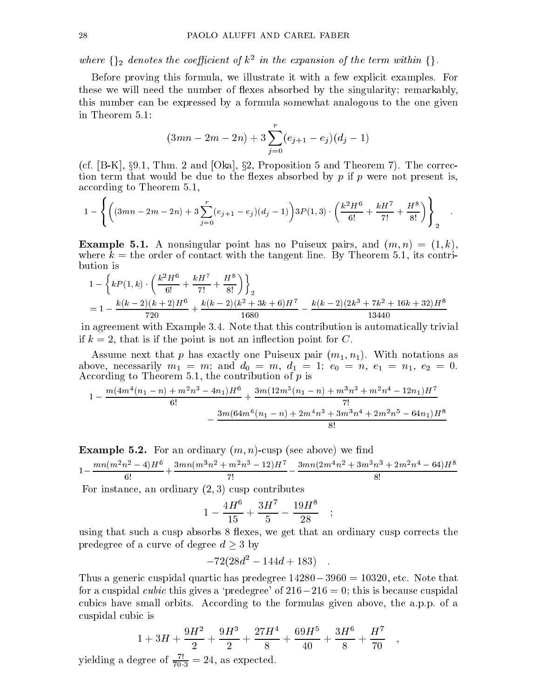where  $\{\gamma_2\}$  aenotes the coefficient of  $\kappa^2$  in the expansion of the term within  $\{\gamma_1\}$ .

Before proving this formula, we illustrate it with a few explicit examples. For these we will need the number of flexes absorbed by the singularity; remarkably, this number can be expressed by a formula somewhat analogous to the one given in Theorem 5.1:

$$
(3mn - 2m - 2n) + 3\sum_{j=0}^{r} (e_{j+1} - e_j)(d_j - 1)
$$

(cf.  $[B-K]$ ,  $\S 9.1$ , Thm. 2 and [Oka],  $\S 2$ , Proposition 5 and Theorem 7). The correction term that would be due to the flexes absorbed by  $p$  if  $p$  were not present is. according to Theorem 5.1,

$$
1 - \left\{ \left( (3mn - 2m - 2n) + 3\sum_{j=0}^r(e_{j+1} - e_j)(d_j - 1) \right) 3P(1,3) \cdot \left( \frac{k^2 H^6}{6!} + \frac{kH^7}{7!} + \frac{H^8}{8!} \right) \right\}_2
$$

**Example 5.1.** A nonsingular point has no Puiseux pairs, and  $(m, n) = (1, k)$ , where  $k =$  the order of contact with the tangent line. By Theorem 5.1, its contribution is

$$
1 - \left\{ kP(1,k) \cdot \left( \frac{k^2 H^6}{6!} + \frac{kH^7}{7!} + \frac{H^8}{8!} \right) \right\}_2
$$
  
= 
$$
1 - \frac{k(k-2)(k+2)H^6}{720} + \frac{k(k-2)(k^2 + 3k + 6)H^7}{1680} - \frac{k(k-2)(2k^3 + 7k^2 + 16k + 32)H^8}{13440}
$$

in agreement with Example 3.4. Note that this contribution is automatically trivial if  $k = 2$ , that is if the point is not an inflection point for C.

Assume next that p has exactly one Puiseux pair  $(m_1, n_1)$ . With notations as above, necessarily m1 <sup>=</sup> m; and d0 <sup>=</sup> m, d1 <sup>=</sup> 1; e0 <sup>=</sup> n, e1 <sup>=</sup> n1, e2 <sup>=</sup> 0. According to Theorem 5.1, the contribution of p is

$$
1 - \frac{m(4m^4(n_1 - n) + m^2n^3 - 4n_1)H^6}{6!} + \frac{3m(12m^5(n_1 - n) + m^3n^3 + m^2n^4 - 12n_1)H^7}{7!} - \frac{3m(64m^6(n_1 - n) + 2m^4n^3 + 3m^3n^4 + 2m^2n^5 - 64n_1)H^8}{8!}
$$

**Example 5.2.** For an ordinary  $(m, n)$ -cusp (see above) we find  $1 - \frac{mn(m-n^{2} - 4)H^{2}}{6!} + \frac{3mn(m-n^{2} + 4)}{6!}$  $3mn(m-n+12)H^2 - 3mn$ 7!  $3mn(2m+n^{2}+3m^{2}n^{2}+2m^{2}n^{2}-04)H^{3}$ 

For instance, an ordinary  $(2, 3)$  cusp contributes

$$
1 - \frac{4H^6}{15} + \frac{3H^7}{5} - \frac{19H^8}{28} \quad ;
$$

using that such a cusp absorbs 8 flexes, we get that an ordinary cusp corrects the predegree of a curve of degree d <sup>3</sup> by

$$
-72(28d^2 - 144d + 183) \quad .
$$

Thus a generic cuspidal quartic has predegree  $14280 - 3960 = 10320$ , etc. Note that for a cuspidal *cubic* this gives a 'predegree' of  $216-216 = 0$ ; this is because cuspidal cubics have small orbits. According to the formulas given above, the a.p.p. of a cuspidal cubic is

$$
1+3H+\frac{9H^2}{2}+\frac{9H^3}{2}+\frac{27H^4}{8}+\frac{69H^5}{40}+\frac{3H^6}{8}+\frac{H^7}{70}\quad ,
$$

yielding a degree of  $\frac{1}{70.3}$  = 24, as expected.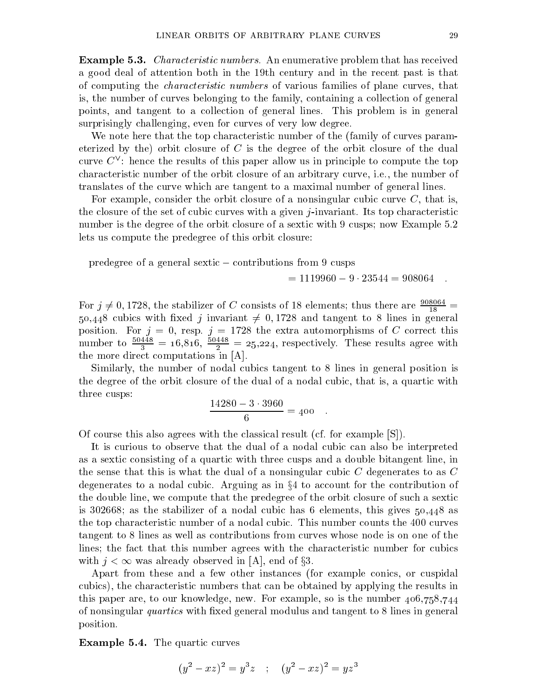Example 5.3. Characteristic numbers. An enumerative problem that has received a good deal of attention both in the 19th century and in the recent past is that of computing the characteristic numbers of various families of plane curves, that is, the number of curves belonging to the family, containing a collection of general points, and tangent to a collection of general lines. This problem is in general surprisingly challenging, even for curves of very low degree.

We note here that the top characteristic number of the (family of curves parameterized by the) orbit closure of  $C$  is the degree of the orbit closure of the dual curve  $C$  : hence the results of this paper allow us in principle to compute the top  $\,$ characteristic number of the orbit closure of an arbitrary curve, i.e., the number of translates of the curve which are tangent to a maximal number of general lines.

For example, consider the orbit closure of a nonsingular cubic curve  $C$ , that is, the closure of the set of cubic curves with a given j-invariant. Its top characteristic number is the degree of the orbit closure of a sextic with 9 cusps; now Example 5.2 lets us compute the predegree of this orbit closure:

predegree of a general sextic contributions from 9 cusps

 $= 1119960 - 9 \cdot 23544 = 908064$ 

For  $j \neq 0, 1728$ , the stabilizer of C consists of 18 elements; thus there are  $\frac{2\pi}{18} =$ 50,448 cubics with fixed j invariant  $\neq$  0, 1728 and tangent to 8 lines in general position. For  $j = 0$ , resp.  $j = 1728$  the extra automorphisms of C correct this number to  $\frac{2}{3}$  = 10,810,  $\frac{2}{2}$  = 25,224, respectively. These results agree with the more direct computations in [A].

Similarly, the number of nodal cubics tangent to 8 lines in general position is the degree of the orbit closure of the dual of a nodal cubic, that is, a quartic with three cusps:

$$
\frac{14280 - 3 \cdot 3960}{6} = 400
$$

Of course this also agrees with the classical result (cf. for example [S]).

It is curious to observe that the dual of a nodal cubic can also be interpreted as a sextic consisting of a quartic with three cusps and a double bitangent line, in the sense that this is what the dual of a nonsingular cubic  $C$  degenerates to as  $C$ degenerates to a nodal cubic. Arguing as in  $\S 4$  to account for the contribution of the double line, we compute that the predegree of the orbit closure of such a sextic is 302668; as the stabilizer of a nodal cubic has 6 elements, this gives 50;448 as the top characteristic number of a nodal cubic. This number counts the 400 curves tangent to 8 lines as well as contributions from curves whose node is on one of the lines; the fact that this number agrees with the characteristic number for cubics with  $j \rightarrow s$  and  $m$  alleady observed in  $\mathbb{Z}$ , and  $\mathbb{Z}$ 

Apart from these and a few other instances (for example conics, or cuspidal cubics), the characteristic numbers that can be obtained by applying the results in this paper are, to our knowledge, new. For example, so is the number 406;758;744 of nonsingular *quartics* with fixed general modulus and tangent to 8 lines in general position.

Example 5.4. The quartic curves

$$
(y2 - xz)2 = y3z ; (y2 - xz)2 = yz3
$$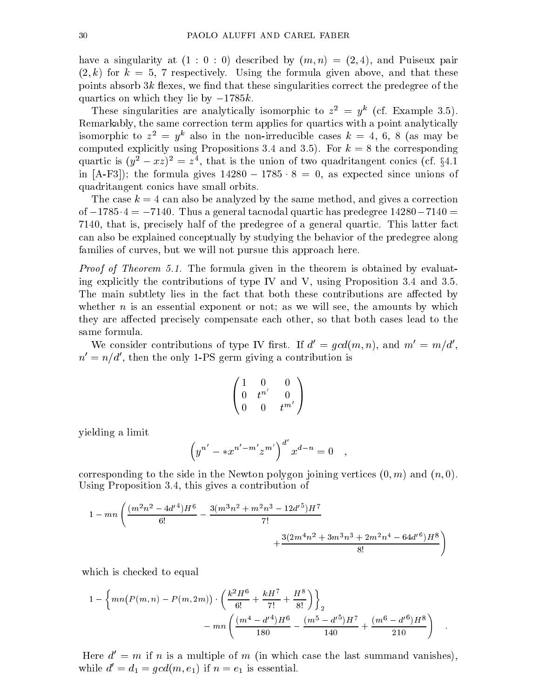have a singularity at  $(1:0:0)$  described by  $(m, n) = (2, 4)$ , and Puiseux pair  $(2, k)$  for  $k = 5$ , 7 respectively. Using the formula given above, and that these points absorb  $3k$  flexes, we find that these singularities correct the predegree of the quartics on which they lie by  $-1785k$ .

These singularities are analytically isomorphic to  $z^2 = y^2$  (cf. Example 5.5). Remarkably, the same correction term applies for quartics with a point analytically isomorphic to  $z^- = y^+$  also in the non-irreducible cases  $\kappa = 4, 6, 8$  (as may be computed explicitly using Propositions 3.4 and 3.5). For  $k = 8$  the corresponding quartic is  $(y^2 - xz)^2 = z^2$ , that is the union of two quadritangent conics (cf.  $\zeta$ 4.1 in [A-F3]); the formula gives 14280 <sup>1785</sup> <sup>8</sup> <sup>=</sup> 0, as expected since unions of quadritangent conics have small orbits.

The case  $k = 4$  can also be analyzed by the same method, and gives a correction of  $-1785.4 = -7140$ . Thus a general tacnodal quartic has predegree  $14280-7140 =$ 7140, that is, precisely half of the predegree of a general quartic. This latter fact can also be explained conceptually by studying the behavior of the predegree along families of curves, but we will not pursue this approach here.

Proof of Theorem 5.1. The formula given in the theorem is obtained by evaluating explicitly the contributions of type IV and V, using Proposition  $3.4$  and  $3.5$ . The main subtlety lies in the fact that both these contributions are affected by whether  $n$  is an essential exponent or not; as we will see, the amounts by which they are affected precisely compensate each other, so that both cases lead to the same formula.

We consider contributions of type IV first. If  $d' = gcd(m, n)$ , and  $m' = m/d'$ ,  $n' = n/d'$ , then the only 1-PS germ giving a contribution is

$$
\left(\begin{matrix} 1 & 0 & 0 \\ 0 & t^{n'} & 0 \\ 0 & 0 & t^{m'} \end{matrix}\right)
$$

yielding a limit

$$
\left( y^{n'} - *x^{n'-m'}z^{m'}\right)^{d'} x^{d-n} = 0 \quad ,
$$

corresponding to the side in the Newton polygon joining vertices  $(0, m)$  and  $(n, 0)$ . Using Proposition 3.4, this gives a contribution of

$$
1 - mn \left( \frac{(m^2 n^2 - 4d'^4)H^6}{6!} - \frac{3(m^3 n^2 + m^2 n^3 - 12d'^5)H^7}{7!} + \frac{3(2m^4 n^2 + 3m^3 n^3 + 2m^2 n^4 - 64d'^6)H^8}{8!} \right)
$$

which is checked to equal

$$
1 - \left\{ mn(P(m, n) - P(m, 2m)) \cdot \left( \frac{k^2 H^6}{6!} + \frac{k H^7}{7!} + \frac{H^8}{8!} \right) \right\}_2
$$
  
- 
$$
mn \left( \frac{(m^4 - d'^4)H^6}{180} - \frac{(m^5 - d'^5)H^7}{140} + \frac{(m^6 - d'^6)H^8}{210} \right)
$$

Here  $d' = m$  if n is a multiple of m (in which case the last summand vanishes). while  $d' = d_1 = gcd(m, e_1)$  if  $n = e_1$  is essential.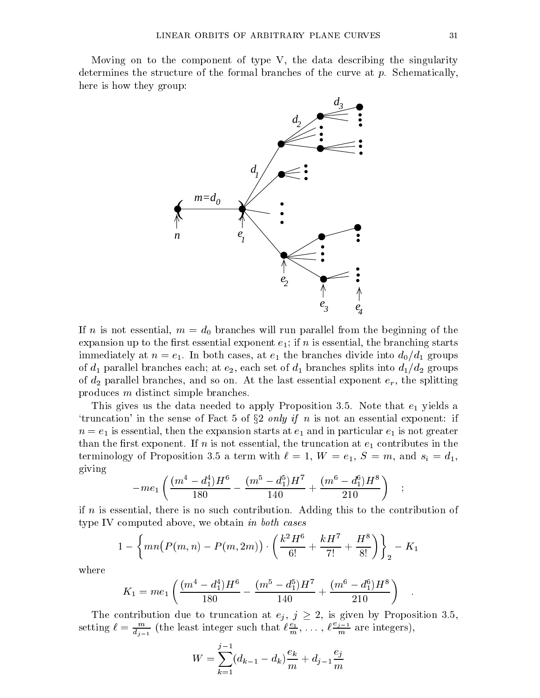Moving on to the component of type V, the data describing the singularity determines the structure of the formal branches of the curve at p. Schematically, here is how they group:



If n is not essential,  $m = d_0$  branches will run parallel from the beginning of the expansion up to the first essential exponent  $e_1$ ; if n is essential, the branching starts immediately at  $n = e_1$ . In both cases, at  $e_1$  the branches divide into  $d_0/d_1$  groups of  $d_1$  parallel branches each; at  $e_2$ , each set of  $d_1$  branches splits into  $d_1/d_2$  groups of  $d_2$  parallel branches, and so on. At the last essential exponent  $e_r$ , the splitting produces m distinct simple branches.

This gives us the data needed to apply Proposition 3.5. Note that  $e_1$  yields a 'truncation' in the sense of Fact 5 of  $\S2$  *only if n* is not an essential exponent: if  $n = e_1$  is essential, then the expansion starts at  $e_1$  and in particular  $e_1$  is not greater than the first exponent. If  $n$  is not essential, the truncation at  $e_1$  contributes in the terminology of Proposition 3.5 a term with  $\ell = 1, W = e_1, S = m$ , and  $s_i = d_1$ , giving

$$
-m e_1\left(\frac{(m^4-d_1^4)H^6}{180}-\frac{(m^5-d_1^5)H^7}{140}+\frac{(m^6-d_1^6)H^8}{210}\right)\quad ;
$$

if n is essential, there is no such contribution. Adding this to the contribution of type IV computed above, we obtain in both cases

$$
1 - \left\{ mn \left( P(m,n) - P(m,2m) \right) \cdot \left( \frac{k^2 H^6}{6!} + \frac{k H^7}{7!} + \frac{H^8}{8!} \right) \right\}_2 - K_1
$$

where

$$
K_1 = me_1 \left( \frac{(m^4 - d_1^4)H^6}{180} - \frac{(m^5 - d_1^5)H^7}{140} + \frac{(m^6 - d_1^6)H^8}{210} \right) .
$$

The contribution due to truncation at  $\mathcal{I} \setminus \mathcal{I}$  ,  $\mathcal{I} = \mathcal{I}$  , is given by Proposition 3.5, setting  $\ell = \frac{m}{d_{i-1}}$  (the least integer such that  $\ell \frac{c_1}{m}, \ldots, \ell \frac{c_{j-1}}{m}$  are i  $m$  are integers),

$$
W = \sum_{k=1}^{j-1} (d_{k-1} - d_k) \frac{e_k}{m} + d_{j-1} \frac{e_j}{m}
$$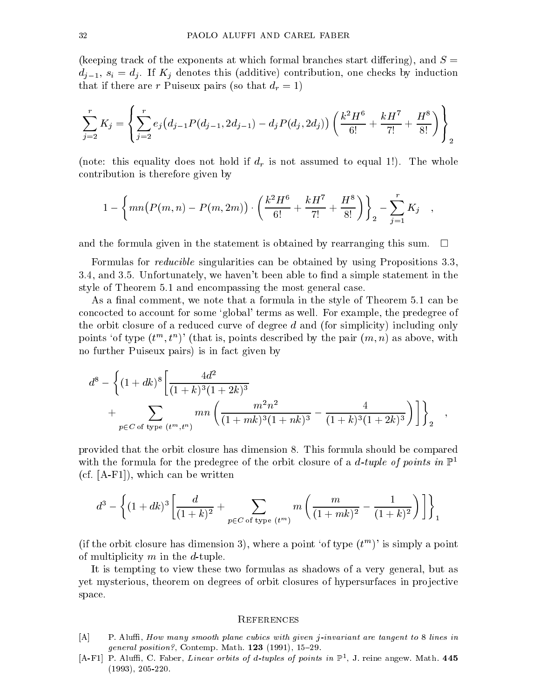(keeping track of the exponents at which formal branches start differing), and  $S =$  $d_{i-1}, s_i = d_i$ . If  $K_i$  denotes this (additive) contribution, one checks by induction that if there are results in the pure pairs (so that drawing  $\mathcal{L}_{\mathcal{A}}$ ) . If the  $\mathcal{L}_{\mathcal{A}}$ 

$$
\sum_{j=2}^{r} K_j = \left\{ \sum_{j=2}^{r} e_j (d_{j-1} P(d_{j-1}, 2d_{j-1}) - d_j P(d_j, 2d_j)) \left( \frac{k^2 H^6}{6!} + \frac{k H^7}{7!} + \frac{H^8}{8!} \right) \right\}_2
$$

(note: this equality does not hold if  $\alpha$  is not assumed to equal 1.1 or equal 1.1. The whole  $\alpha$ contribution is therefore given by

$$
1 - \left\{ mn(P(m, n) - P(m, 2m)) \cdot \left( \frac{k^2 H^6}{6!} + \frac{k H^7}{7!} + \frac{H^8}{8!} \right) \right\}_2 - \sum_{j=1}^r K_j ,
$$

and the formula given in the statement is obtained by rearranging this sum.  $\mathbb{R}^n$ 

Formulas for reducible singularities can be obtained by using Propositions 3.3, 3.4, and 3.5. Unfortunately, we haven't been able to find a simple statement in the style of Theorem 5.1 and encompassing the most general case.

As a final comment, we note that a formula in the style of Theorem 5.1 can be concocted to account for some `global' terms as well. For example, the predegree of the orbit closure of a reduced curve of degree d and (for simplicity) including only points 'of type  $(t^m, t^n)$ ' (that is, points described by the pair  $(m, n)$  as above, with no further Puiseux pairs) is in fact given by

$$
d^{8} - \left\{ (1+dk)^{8} \left[ \frac{4d^{2}}{(1+k)^{3}(1+2k)^{3}} + \sum_{p \in C \text{ of type } (t^{m}, t^{n})} mn \left( \frac{m^{2}n^{2}}{(1+mk)^{3}(1+nk)^{3}} - \frac{4}{(1+k)^{3}(1+2k)^{3}} \right) \right] \right\}_{2},
$$

provided that the orbit closure has dimension 8. This formula should be compared with the formula for the predegree of the orbit closure of a d-tuple of points in  $\mathbb{P}^1$ (cf. [A-F1]), which can be written

$$
d^3 - \left\{ (1+dk)^3 \left[ \frac{d}{(1+k)^2} + \sum_{p \in C \text{ of type } (t^m)} m \left( \frac{m}{(1+mk)^2} - \frac{1}{(1+k)^2} \right) \right] \right\}_1
$$

(if the orbit closure has dimension 3), where a point 'of type  $(t^m)$ ' is simply a point of multiplicity  $m$  in the  $d$ -tuple.

It is tempting to view these two formulas as shadows of a very general, but as yet mysterious, theorem on degrees of orbit closures of hypersurfaces in projective space.

#### **REFERENCES**

- $[A]$  P. Aluffi, How many smooth plane cubics with given j-invariant are tangent to 8 lines in general position?, Contemp. Math.  $123$  (1991), 15-29.
- $[A-F1]$  P. Alum, C. Paber, *Linear orbits of d-tuples of points in* F<sub>1</sub>, J. reine angew. Math. 445 (1993), 205-220.